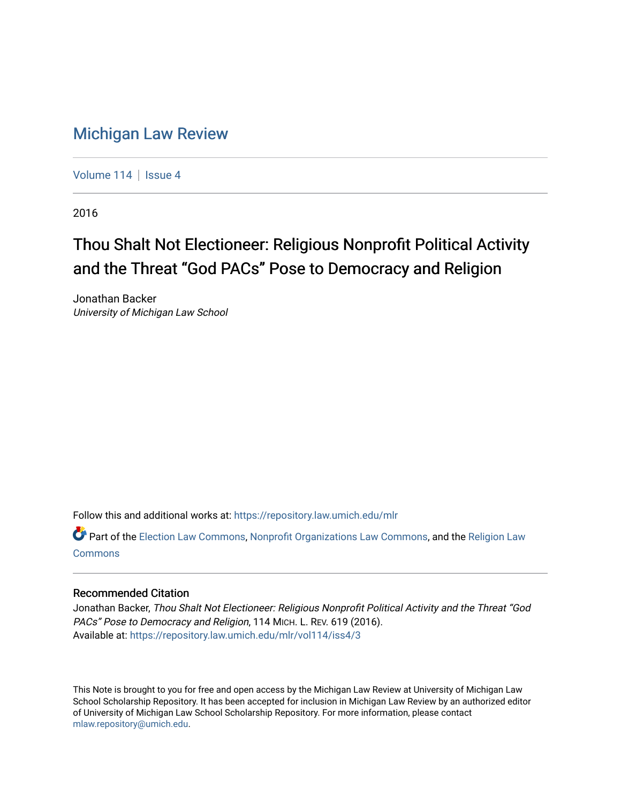# [Michigan Law Review](https://repository.law.umich.edu/mlr)

[Volume 114](https://repository.law.umich.edu/mlr/vol114) | [Issue 4](https://repository.law.umich.edu/mlr/vol114/iss4)

2016

# Thou Shalt Not Electioneer: Religious Nonprofit Political Activity and the Threat "God PACs" Pose to Democracy and Religion

Jonathan Backer University of Michigan Law School

Follow this and additional works at: [https://repository.law.umich.edu/mlr](https://repository.law.umich.edu/mlr?utm_source=repository.law.umich.edu%2Fmlr%2Fvol114%2Fiss4%2F3&utm_medium=PDF&utm_campaign=PDFCoverPages) 

Part of the [Election Law Commons](http://network.bepress.com/hgg/discipline/1121?utm_source=repository.law.umich.edu%2Fmlr%2Fvol114%2Fiss4%2F3&utm_medium=PDF&utm_campaign=PDFCoverPages), [Nonprofit Organizations Law Commons,](http://network.bepress.com/hgg/discipline/1349?utm_source=repository.law.umich.edu%2Fmlr%2Fvol114%2Fiss4%2F3&utm_medium=PDF&utm_campaign=PDFCoverPages) and the [Religion Law](http://network.bepress.com/hgg/discipline/872?utm_source=repository.law.umich.edu%2Fmlr%2Fvol114%2Fiss4%2F3&utm_medium=PDF&utm_campaign=PDFCoverPages) [Commons](http://network.bepress.com/hgg/discipline/872?utm_source=repository.law.umich.edu%2Fmlr%2Fvol114%2Fiss4%2F3&utm_medium=PDF&utm_campaign=PDFCoverPages)

## Recommended Citation

Jonathan Backer, Thou Shalt Not Electioneer: Religious Nonprofit Political Activity and the Threat "God PACs" Pose to Democracy and Religion, 114 MICH. L. REV. 619 (2016). Available at: [https://repository.law.umich.edu/mlr/vol114/iss4/3](https://repository.law.umich.edu/mlr/vol114/iss4/3?utm_source=repository.law.umich.edu%2Fmlr%2Fvol114%2Fiss4%2F3&utm_medium=PDF&utm_campaign=PDFCoverPages) 

This Note is brought to you for free and open access by the Michigan Law Review at University of Michigan Law School Scholarship Repository. It has been accepted for inclusion in Michigan Law Review by an authorized editor of University of Michigan Law School Scholarship Repository. For more information, please contact [mlaw.repository@umich.edu.](mailto:mlaw.repository@umich.edu)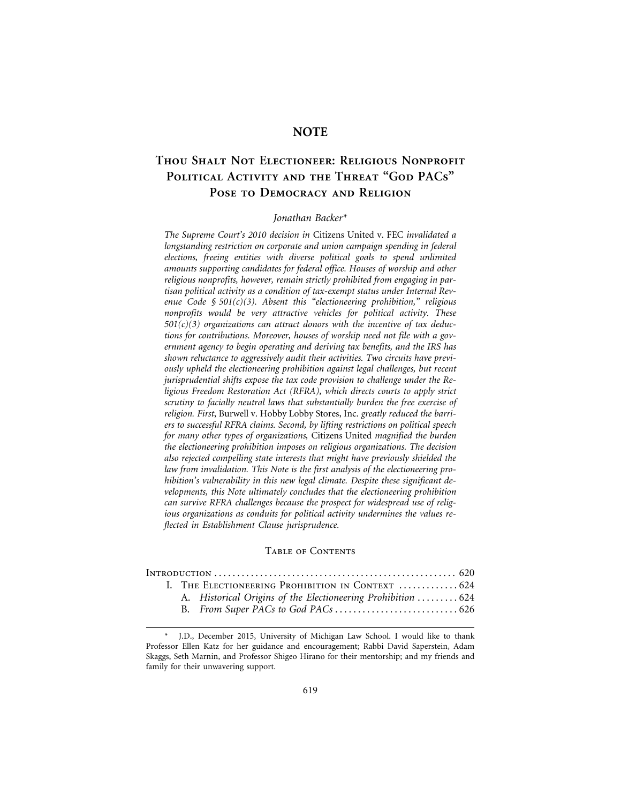## **NOTE**

## **Thou Shalt Not Electioneer: Religious Nonprofit Political Activity and the Threat "God PACs" Pose to Democracy and Religion**

## *Jonathan Backer\**

*The Supreme Court's 2010 decision in* Citizens United v. FEC *invalidated a longstanding restriction on corporate and union campaign spending in federal elections, freeing entities with diverse political goals to spend unlimited amounts supporting candidates for federal office. Houses of worship and other religious nonprofits, however, remain strictly prohibited from engaging in partisan political activity as a condition of tax-exempt status under Internal Revenue Code § 501(c)(3). Absent this "electioneering prohibition," religious nonprofits would be very attractive vehicles for political activity. These 501(c)(3) organizations can attract donors with the incentive of tax deductions for contributions. Moreover, houses of worship need not file with a government agency to begin operating and deriving tax benefits, and the IRS has shown reluctance to aggressively audit their activities. Two circuits have previously upheld the electioneering prohibition against legal challenges, but recent jurisprudential shifts expose the tax code provision to challenge under the Religious Freedom Restoration Act (RFRA), which directs courts to apply strict scrutiny to facially neutral laws that substantially burden the free exercise of religion. First*, Burwell v. Hobby Lobby Stores, Inc. *greatly reduced the barriers to successful RFRA claims. Second, by lifting restrictions on political speech for many other types of organizations,* Citizens United *magnified the burden the electioneering prohibition imposes on religious organizations. The decision also rejected compelling state interests that might have previously shielded the law from invalidation. This Note is the first analysis of the electioneering prohibition's vulnerability in this new legal climate. Despite these significant developments, this Note ultimately concludes that the electioneering prohibition can survive RFRA challenges because the prospect for widespread use of religious organizations as conduits for political activity undermines the values reflected in Establishment Clause jurisprudence.*

### TABLE OF CONTENTS

|  | I. THE ELECTIONEERING PROHIBITION IN CONTEXT  624 |                                                              |  |
|--|---------------------------------------------------|--------------------------------------------------------------|--|
|  |                                                   | A. Historical Origins of the Electioneering Prohibition  624 |  |
|  |                                                   |                                                              |  |

<sup>\*</sup> J.D., December 2015, University of Michigan Law School. I would like to thank Professor Ellen Katz for her guidance and encouragement; Rabbi David Saperstein, Adam Skaggs, Seth Marnin, and Professor Shigeo Hirano for their mentorship; and my friends and family for their unwavering support.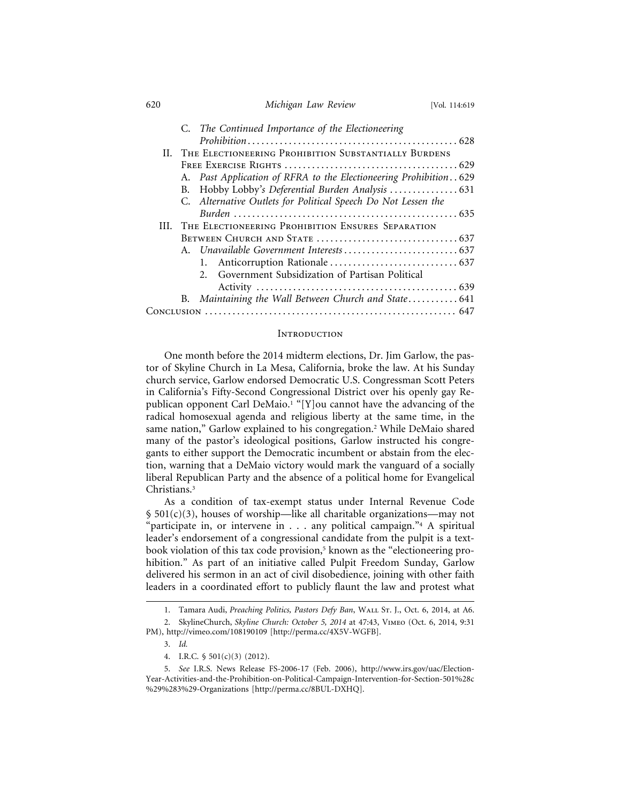## 620 *Michigan Law Review* [Vol. 114:619

|   | C. The Continued Importance of the Electioneering                 |
|---|-------------------------------------------------------------------|
|   |                                                                   |
|   | II. THE ELECTIONEERING PROHIBITION SUBSTANTIALLY BURDENS          |
|   |                                                                   |
|   | A. Past Application of RFRA to the Electioneering Prohibition 629 |
|   |                                                                   |
|   | C. Alternative Outlets for Political Speech Do Not Lessen the     |
|   |                                                                   |
| Ш | THE ELECTIONEERING PROHIBITION ENSURES SEPARATION                 |
|   |                                                                   |
|   |                                                                   |
|   |                                                                   |
|   | Government Subsidization of Partisan Political<br>$2^{1}$         |
|   |                                                                   |
|   | B. Maintaining the Wall Between Church and State 641              |
|   |                                                                   |

#### **INTRODUCTION**

One month before the 2014 midterm elections, Dr. Jim Garlow, the pastor of Skyline Church in La Mesa, California, broke the law. At his Sunday church service, Garlow endorsed Democratic U.S. Congressman Scott Peters in California's Fifty-Second Congressional District over his openly gay Republican opponent Carl DeMaio.<sup>1</sup> "[Y]ou cannot have the advancing of the radical homosexual agenda and religious liberty at the same time, in the same nation," Garlow explained to his congregation.2 While DeMaio shared many of the pastor's ideological positions, Garlow instructed his congregants to either support the Democratic incumbent or abstain from the election, warning that a DeMaio victory would mark the vanguard of a socially liberal Republican Party and the absence of a political home for Evangelical Christians.3

As a condition of tax-exempt status under Internal Revenue Code  $\S$  501(c)(3), houses of worship—like all charitable organizations—may not "participate in, or intervene in . . . any political campaign."4 A spiritual leader's endorsement of a congressional candidate from the pulpit is a textbook violation of this tax code provision,<sup>5</sup> known as the "electioneering prohibition." As part of an initiative called Pulpit Freedom Sunday, Garlow delivered his sermon in an act of civil disobedience, joining with other faith leaders in a coordinated effort to publicly flaunt the law and protest what

<sup>1.</sup> Tamara Audi, *Preaching Politics, Pastors Defy Ban*, WALL St. J., Oct. 6, 2014, at A6. 2. SkylineChurch, *Skyline Church: October 5, 2014* at 47:43, Vimeo (Oct. 6, 2014, 9:31

PM), http://vimeo.com/108190109 [http://perma.cc/4X5V-WGFB].

<sup>3.</sup> *Id.*

<sup>4.</sup> I.R.C. § 501(c)(3) (2012).

<sup>5.</sup> *See* I.R.S. News Release FS-2006-17 (Feb. 2006), http://www.irs.gov/uac/Election-Year-Activities-and-the-Prohibition-on-Political-Campaign-Intervention-for-Section-501%28c %29%283%29-Organizations [http://perma.cc/8BUL-DXHQ].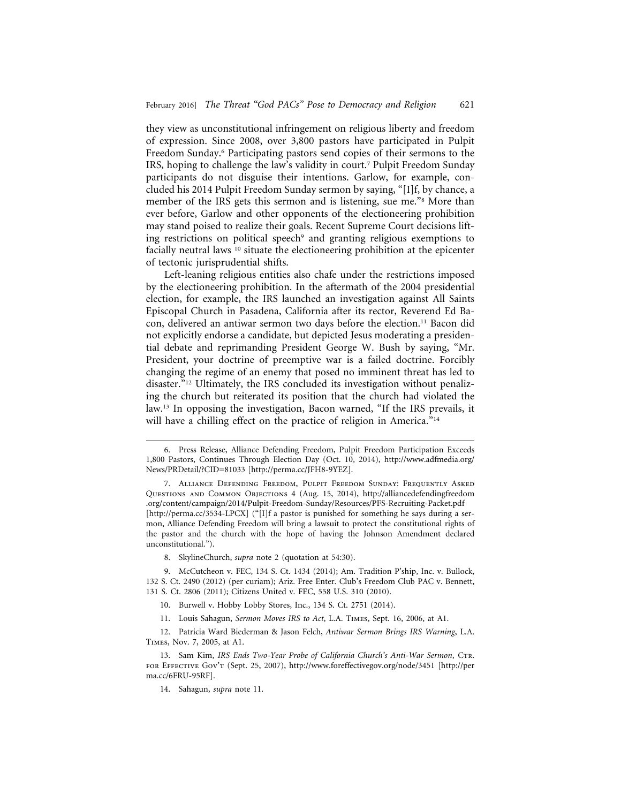they view as unconstitutional infringement on religious liberty and freedom of expression. Since 2008, over 3,800 pastors have participated in Pulpit Freedom Sunday.6 Participating pastors send copies of their sermons to the IRS, hoping to challenge the law's validity in court.7 Pulpit Freedom Sunday participants do not disguise their intentions. Garlow, for example, concluded his 2014 Pulpit Freedom Sunday sermon by saying, "[I]f, by chance, a member of the IRS gets this sermon and is listening, sue me."8 More than ever before, Garlow and other opponents of the electioneering prohibition may stand poised to realize their goals. Recent Supreme Court decisions lifting restrictions on political speech<sup>9</sup> and granting religious exemptions to facially neutral laws <sup>10</sup> situate the electioneering prohibition at the epicenter of tectonic jurisprudential shifts.

Left-leaning religious entities also chafe under the restrictions imposed by the electioneering prohibition. In the aftermath of the 2004 presidential election, for example, the IRS launched an investigation against All Saints Episcopal Church in Pasadena, California after its rector, Reverend Ed Bacon, delivered an antiwar sermon two days before the election.<sup>11</sup> Bacon did not explicitly endorse a candidate, but depicted Jesus moderating a presidential debate and reprimanding President George W. Bush by saying, "Mr. President, your doctrine of preemptive war is a failed doctrine. Forcibly changing the regime of an enemy that posed no imminent threat has led to disaster."<sup>12</sup> Ultimately, the IRS concluded its investigation without penalizing the church but reiterated its position that the church had violated the law.13 In opposing the investigation, Bacon warned, "If the IRS prevails, it will have a chilling effect on the practice of religion in America."<sup>14</sup>

7. Alliance Defending Freedom, Pulpit Freedom Sunday: Frequently Asked Questions and Common Objections 4 (Aug. 15, 2014), http://alliancedefendingfreedom .org/content/campaign/2014/Pulpit-Freedom-Sunday/Resources/PFS-Recruiting-Packet.pdf [http://perma.cc/3534-LPCX] ("[I]f a pastor is punished for something he says during a sermon, Alliance Defending Freedom will bring a lawsuit to protect the constitutional rights of the pastor and the church with the hope of having the Johnson Amendment declared unconstitutional.").

8. SkylineChurch, *supra* note 2 (quotation at 54:30).

9. McCutcheon v. FEC, 134 S. Ct. 1434 (2014); Am. Tradition P'ship, Inc. v. Bullock, 132 S. Ct. 2490 (2012) (per curiam); Ariz. Free Enter. Club's Freedom Club PAC v. Bennett, 131 S. Ct. 2806 (2011); Citizens United v. FEC, 558 U.S. 310 (2010).

11. Louis Sahagun, *Sermon Moves IRS to Act*, L.A. Times, Sept. 16, 2006, at A1.

12. Patricia Ward Biederman & Jason Felch, *Antiwar Sermon Brings IRS Warning*, L.A. Times, Nov. 7, 2005, at A1.

13. Sam Kim, *IRS Ends Two-Year Probe of California Church's Anti-War Sermon*, Ctr. for Effective Gov't (Sept. 25, 2007), http://www.foreffectivegov.org/node/3451 [http://per ma.cc/6FRU-95RF].

14. Sahagun, *supra* note 11.

<sup>6.</sup> Press Release, Alliance Defending Freedom, Pulpit Freedom Participation Exceeds 1,800 Pastors, Continues Through Election Day (Oct. 10, 2014), http://www.adfmedia.org/ News/PRDetail/?CID=81033 [http://perma.cc/JFH8-9YEZ].

<sup>10.</sup> Burwell v. Hobby Lobby Stores, Inc., 134 S. Ct. 2751 (2014).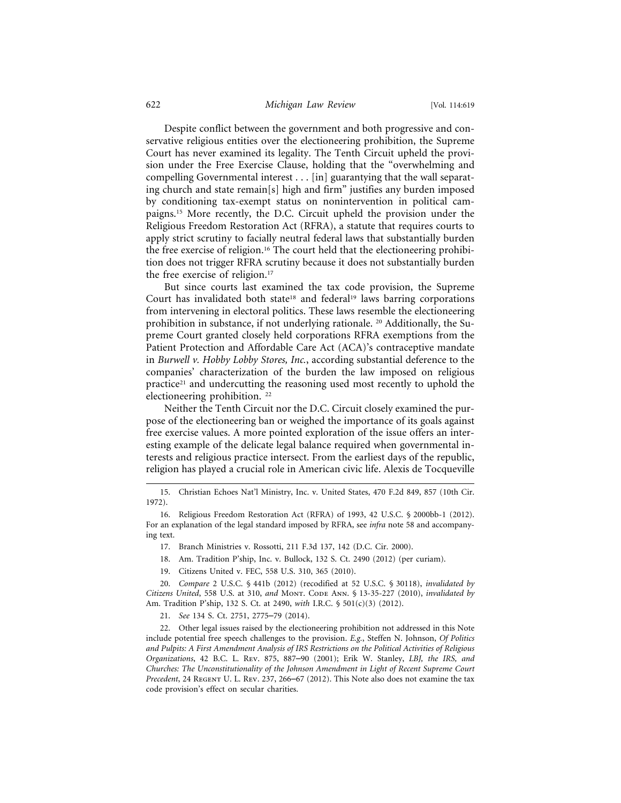### 622 *Michigan Law Review* [Vol. 114:619

Despite conflict between the government and both progressive and conservative religious entities over the electioneering prohibition, the Supreme Court has never examined its legality. The Tenth Circuit upheld the provision under the Free Exercise Clause, holding that the "overwhelming and compelling Governmental interest . . . [in] guarantying that the wall separating church and state remain[s] high and firm" justifies any burden imposed by conditioning tax-exempt status on nonintervention in political campaigns.15 More recently, the D.C. Circuit upheld the provision under the Religious Freedom Restoration Act (RFRA), a statute that requires courts to apply strict scrutiny to facially neutral federal laws that substantially burden the free exercise of religion.<sup>16</sup> The court held that the electioneering prohibition does not trigger RFRA scrutiny because it does not substantially burden the free exercise of religion.17

But since courts last examined the tax code provision, the Supreme Court has invalidated both state<sup>18</sup> and federal<sup>19</sup> laws barring corporations from intervening in electoral politics. These laws resemble the electioneering prohibition in substance, if not underlying rationale. 20 Additionally, the Supreme Court granted closely held corporations RFRA exemptions from the Patient Protection and Affordable Care Act (ACA)'s contraceptive mandate in *Burwell v. Hobby Lobby Stores, Inc.*, according substantial deference to the companies' characterization of the burden the law imposed on religious practice21 and undercutting the reasoning used most recently to uphold the electioneering prohibition. 22

Neither the Tenth Circuit nor the D.C. Circuit closely examined the purpose of the electioneering ban or weighed the importance of its goals against free exercise values. A more pointed exploration of the issue offers an interesting example of the delicate legal balance required when governmental interests and religious practice intersect. From the earliest days of the republic, religion has played a crucial role in American civic life. Alexis de Tocqueville

- 17. Branch Ministries v. Rossotti, 211 F.3d 137, 142 (D.C. Cir. 2000).
- 18. Am. Tradition P'ship, Inc. v. Bullock, 132 S. Ct. 2490 (2012) (per curiam).
- 19. Citizens United v. FEC, 558 U.S. 310, 365 (2010).

20. *Compare* 2 U.S.C. § 441b (2012) (recodified at 52 U.S.C. § 30118), *invalidated by Citizens United*, 558 U.S. at 310, *and* Mont. Code Ann. § 13-35-227 (2010), *invalidated by* Am. Tradition P'ship, 132 S. Ct. at 2490, *with* I.R.C. § 501(c)(3) (2012).

21. *See* 134 S. Ct. 2751, 2775–79 (2014).

22. Other legal issues raised by the electioneering prohibition not addressed in this Note include potential free speech challenges to the provision. *E.g.*, Steffen N. Johnson, *Of Politics and Pulpits: A First Amendment Analysis of IRS Restrictions on the Political Activities of Religious Organizations*, 42 B.C. L. Rev. 875, 887–90 (2001); Erik W. Stanley, *LBJ, the IRS, and Churches: The Unconstitutionality of the Johnson Amendment in Light of Recent Supreme Court Precedent*, 24 Regent U. L. Rev. 237, 266–67 (2012). This Note also does not examine the tax code provision's effect on secular charities.

<sup>15.</sup> Christian Echoes Nat'l Ministry, Inc. v. United States, 470 F.2d 849, 857 (10th Cir. 1972).

<sup>16.</sup> Religious Freedom Restoration Act (RFRA) of 1993, 42 U.S.C. § 2000bb-1 (2012). For an explanation of the legal standard imposed by RFRA, see *infra* note 58 and accompanying text.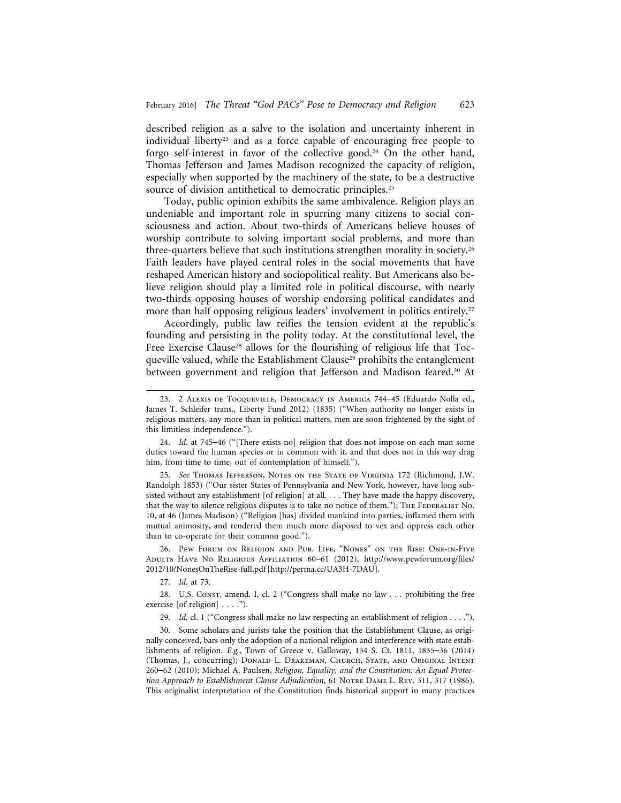described religion as a salve to the isolation and uncertainty inherent in individual liberty<sup>23</sup> and as a force capable of encouraging free people to forgo self-interest in favor of the collective good.<sup>24</sup> On the other hand, Thomas Jefferson and James Madison recognized the capacity of religion, especially when supported by the machinery of the state, to be a destructive source of division antithetical to democratic principles.<sup>25</sup>

Today, public opinion exhibits the same ambivalence. Religion plays an undeniable and important role in spurring many citizens to social consciousness and action. About two-thirds of Americans believe houses of worship contribute to solving important social problems, and more than three-quarters believe that such institutions strengthen morality in society.26 Faith leaders have played central roles in the social movements that have reshaped American history and sociopolitical reality. But Americans also believe religion should play a limited role in political discourse, with nearly two-thirds opposing houses of worship endorsing political candidates and more than half opposing religious leaders' involvement in politics entirely.<sup>27</sup>

Accordingly, public law reifies the tension evident at the republic's founding and persisting in the polity today. At the constitutional level, the Free Exercise Clause<sup>28</sup> allows for the flourishing of religious life that Tocqueville valued, while the Establishment Clause<sup>29</sup> prohibits the entanglement between government and religion that Jefferson and Madison feared.<sup>30</sup> At

25. *See* Thomas Jefferson, Notes on the State of Virginia 172 (Richmond, J.W. Randolph 1853) ("Our sister States of Pennsylvania and New York, however, have long subsisted without any establishment [of religion] at all. . . . They have made the happy discovery, that the way to silence religious disputes is to take no notice of them."); THE FEDERALIST No. 10, at 46 (James Madison) ("Religion [has] divided mankind into parties, inflamed them with mutual animosity, and rendered them much more disposed to vex and oppress each other than to co-operate for their common good.").

26. Pew Forum on Religion and Pub. Life, "Nones" on the Rise: One-in-Five Adults Have No Religious Affiliation 60–61 (2012), http://www.pewforum.org/files/ 2012/10/NonesOnTheRise-full.pdf [http://perma.cc/UA3H-7DAU].

27. *Id.* at 73.

28. U.S. Const. amend. I, cl. 2 ("Congress shall make no law . . . prohibiting the free exercise [of religion] . . . .").

29. *Id.* cl. 1 ("Congress shall make no law respecting an establishment of religion . . . .").

30. Some scholars and jurists take the position that the Establishment Clause, as originally conceived, bars only the adoption of a national religion and interference with state establishments of religion. *E.g.*, Town of Greece v. Galloway, 134 S. Ct. 1811, 1835–36 (2014) (Thomas, J., concurring); Donald L. Drakeman, Church, State, and Original Intent 260–62 (2010); Michael A. Paulsen, *Religion, Equality, and the Constitution: An Equal Protec*tion Approach to Establishment Clause Adjudication, 61 NOTRE DAME L. REV. 311, 317 (1986). This originalist interpretation of the Constitution finds historical support in many practices

<sup>23. 2</sup> Alexis de Tocqueville, Democracy in America 744–45 (Eduardo Nolla ed., James T. Schleifer trans., Liberty Fund 2012) (1835) ("When authority no longer exists in religious matters, any more than in political matters, men are soon frightened by the sight of this limitless independence.").

<sup>24.</sup> *Id.* at 745–46 ("[There exists no] religion that does not impose on each man some duties toward the human species or in common with it, and that does not in this way drag him, from time to time, out of contemplation of himself.").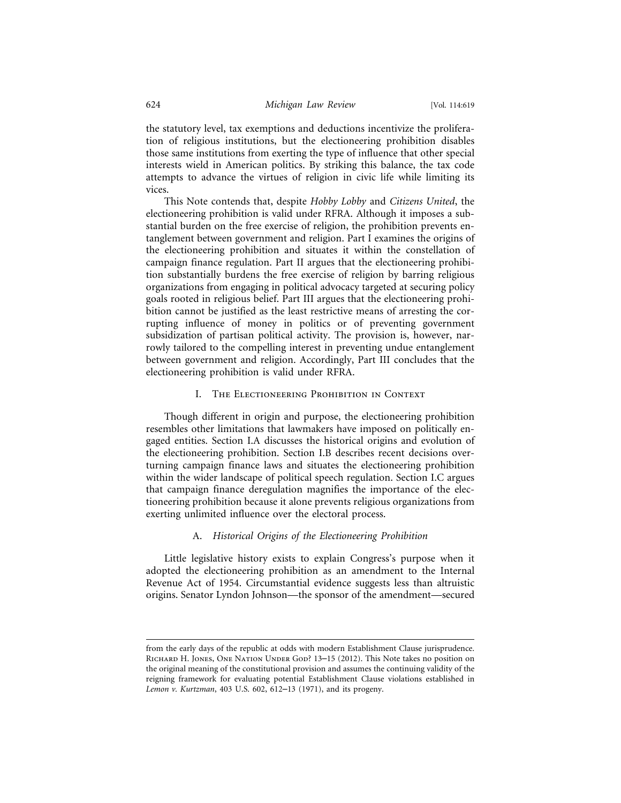the statutory level, tax exemptions and deductions incentivize the proliferation of religious institutions, but the electioneering prohibition disables those same institutions from exerting the type of influence that other special interests wield in American politics. By striking this balance, the tax code attempts to advance the virtues of religion in civic life while limiting its vices.

This Note contends that, despite *Hobby Lobby* and *Citizens United*, the electioneering prohibition is valid under RFRA. Although it imposes a substantial burden on the free exercise of religion, the prohibition prevents entanglement between government and religion. Part I examines the origins of the electioneering prohibition and situates it within the constellation of campaign finance regulation. Part II argues that the electioneering prohibition substantially burdens the free exercise of religion by barring religious organizations from engaging in political advocacy targeted at securing policy goals rooted in religious belief. Part III argues that the electioneering prohibition cannot be justified as the least restrictive means of arresting the corrupting influence of money in politics or of preventing government subsidization of partisan political activity. The provision is, however, narrowly tailored to the compelling interest in preventing undue entanglement between government and religion. Accordingly, Part III concludes that the electioneering prohibition is valid under RFRA.

## I. THE ELECTIONEERING PROHIBITION IN CONTEXT

Though different in origin and purpose, the electioneering prohibition resembles other limitations that lawmakers have imposed on politically engaged entities. Section I.A discusses the historical origins and evolution of the electioneering prohibition. Section I.B describes recent decisions overturning campaign finance laws and situates the electioneering prohibition within the wider landscape of political speech regulation. Section I.C argues that campaign finance deregulation magnifies the importance of the electioneering prohibition because it alone prevents religious organizations from exerting unlimited influence over the electoral process.

## A. *Historical Origins of the Electioneering Prohibition*

Little legislative history exists to explain Congress's purpose when it adopted the electioneering prohibition as an amendment to the Internal Revenue Act of 1954. Circumstantial evidence suggests less than altruistic origins. Senator Lyndon Johnson—the sponsor of the amendment—secured

from the early days of the republic at odds with modern Establishment Clause jurisprudence. Richard H. Jones, One Nation Under God? 13–15 (2012). This Note takes no position on the original meaning of the constitutional provision and assumes the continuing validity of the reigning framework for evaluating potential Establishment Clause violations established in *Lemon v. Kurtzman*, 403 U.S. 602, 612–13 (1971), and its progeny.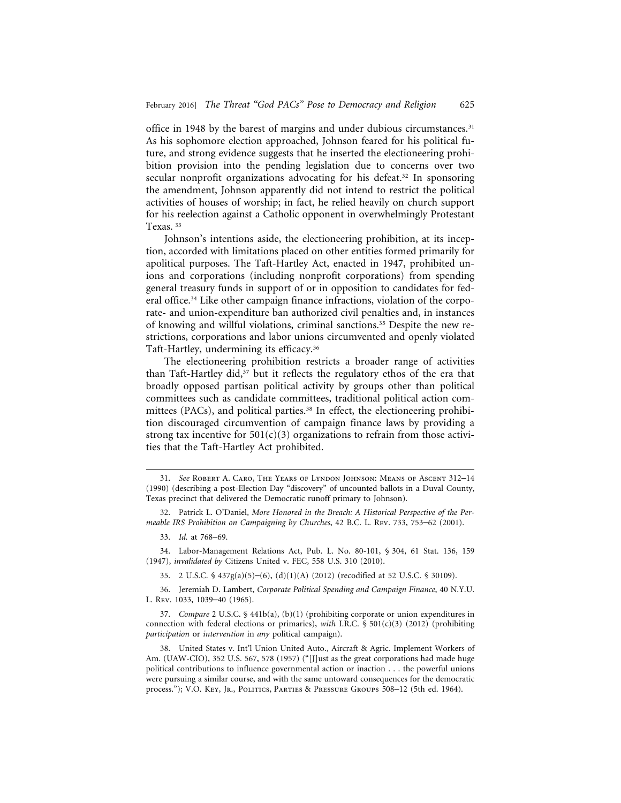office in 1948 by the barest of margins and under dubious circumstances.<sup>31</sup> As his sophomore election approached, Johnson feared for his political future, and strong evidence suggests that he inserted the electioneering prohibition provision into the pending legislation due to concerns over two secular nonprofit organizations advocating for his defeat.<sup>32</sup> In sponsoring the amendment, Johnson apparently did not intend to restrict the political activities of houses of worship; in fact, he relied heavily on church support for his reelection against a Catholic opponent in overwhelmingly Protestant Texas. <sup>33</sup>

Johnson's intentions aside, the electioneering prohibition, at its inception, accorded with limitations placed on other entities formed primarily for apolitical purposes. The Taft-Hartley Act, enacted in 1947, prohibited unions and corporations (including nonprofit corporations) from spending general treasury funds in support of or in opposition to candidates for federal office.34 Like other campaign finance infractions, violation of the corporate- and union-expenditure ban authorized civil penalties and, in instances of knowing and willful violations, criminal sanctions.35 Despite the new restrictions, corporations and labor unions circumvented and openly violated Taft-Hartley, undermining its efficacy.36

The electioneering prohibition restricts a broader range of activities than Taft-Hartley did,<sup>37</sup> but it reflects the regulatory ethos of the era that broadly opposed partisan political activity by groups other than political committees such as candidate committees, traditional political action committees (PACs), and political parties.<sup>38</sup> In effect, the electioneering prohibition discouraged circumvention of campaign finance laws by providing a strong tax incentive for  $501(c)(3)$  organizations to refrain from those activities that the Taft-Hartley Act prohibited.

<sup>31.</sup> *See* Robert A. Caro, The Years of Lyndon Johnson: Means of Ascent 312–14 (1990) (describing a post-Election Day "discovery" of uncounted ballots in a Duval County, Texas precinct that delivered the Democratic runoff primary to Johnson).

<sup>32.</sup> Patrick L. O'Daniel, *More Honored in the Breach: A Historical Perspective of the Permeable IRS Prohibition on Campaigning by Churches*, 42 B.C. L. Rev. 733, 753–62 (2001).

<sup>33.</sup> *Id.* at 768–69.

<sup>34.</sup> Labor-Management Relations Act, Pub. L. No. 80-101, § 304, 61 Stat. 136, 159 (1947), *invalidated by* Citizens United v. FEC, 558 U.S. 310 (2010).

<sup>35. 2</sup> U.S.C. § 437g(a)(5)–(6), (d)(1)(A) (2012) (recodified at 52 U.S.C. § 30109).

<sup>36.</sup> Jeremiah D. Lambert, *Corporate Political Spending and Campaign Finance*, 40 N.Y.U. L. Rev. 1033, 1039–40 (1965).

<sup>37.</sup> *Compare* 2 U.S.C. § 441b(a), (b)(1) (prohibiting corporate or union expenditures in connection with federal elections or primaries), *with* I.R.C. § 501(c)(3) (2012) (prohibiting *participation* or *intervention* in *any* political campaign).

<sup>38.</sup> United States v. Int'l Union United Auto., Aircraft & Agric. Implement Workers of Am. (UAW-CIO), 352 U.S. 567, 578 (1957) ("[J]ust as the great corporations had made huge political contributions to influence governmental action or inaction . . . the powerful unions were pursuing a similar course, and with the same untoward consequences for the democratic process."); V.O. Key, Jr., Politics, Parties & Pressure Groups 508–12 (5th ed. 1964).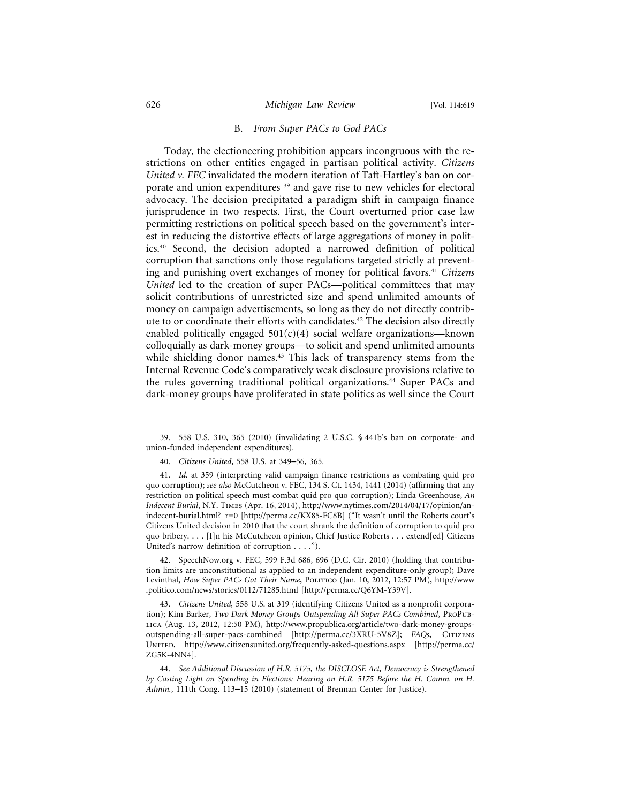## B. *From Super PACs to God PACs*

Today, the electioneering prohibition appears incongruous with the restrictions on other entities engaged in partisan political activity. *Citizens United v. FEC* invalidated the modern iteration of Taft-Hartley's ban on corporate and union expenditures <sup>39</sup> and gave rise to new vehicles for electoral advocacy. The decision precipitated a paradigm shift in campaign finance jurisprudence in two respects. First, the Court overturned prior case law permitting restrictions on political speech based on the government's interest in reducing the distortive effects of large aggregations of money in politics.40 Second, the decision adopted a narrowed definition of political corruption that sanctions only those regulations targeted strictly at preventing and punishing overt exchanges of money for political favors.41 *Citizens United* led to the creation of super PACs—political committees that may solicit contributions of unrestricted size and spend unlimited amounts of money on campaign advertisements, so long as they do not directly contribute to or coordinate their efforts with candidates.42 The decision also directly enabled politically engaged  $501(c)(4)$  social welfare organizations—known colloquially as dark-money groups—to solicit and spend unlimited amounts while shielding donor names.<sup>43</sup> This lack of transparency stems from the Internal Revenue Code's comparatively weak disclosure provisions relative to the rules governing traditional political organizations.44 Super PACs and dark-money groups have proliferated in state politics as well since the Court

42. SpeechNow.org v. FEC, 599 F.3d 686, 696 (D.C. Cir. 2010) (holding that contribution limits are unconstitutional as applied to an independent expenditure-only group); Dave Levinthal, *How Super PACs Got Their Name*, Politico (Jan. 10, 2012, 12:57 PM), http://www .politico.com/news/stories/0112/71285.html [http://perma.cc/Q6YM-Y39V].

43. *Citizens United,* 558 U.S. at 319 (identifying Citizens United as a nonprofit corporation); Kim Barker, *Two Dark Money Groups Outspending All Super PACs Combined*, ProPublica (Aug. 13, 2012, 12:50 PM), http://www.propublica.org/article/two-dark-money-groupsoutspending-all-super-pacs-combined [http://perma.cc/3XRU-5V8Z]; *FAQs*, Citizens United, http://www.citizensunited.org/frequently-asked-questions.aspx [http://perma.cc/ ZG5K-4NN4].

44. *See Additional Discussion of H.R. 5175, the DISCLOSE Act, Democracy is Strengthened by Casting Light on Spending in Elections: Hearing on H.R. 5175 Before the H. Comm. on H. Admin.*, 111th Cong. 113–15 (2010) (statement of Brennan Center for Justice).

<sup>39. 558</sup> U.S. 310, 365 (2010) (invalidating 2 U.S.C. § 441b's ban on corporate- and union-funded independent expenditures).

<sup>40.</sup> *Citizens United*, 558 U.S. at 349–56, 365.

<sup>41.</sup> *Id.* at 359 (interpreting valid campaign finance restrictions as combating quid pro quo corruption); *see also* McCutcheon v. FEC, 134 S. Ct. 1434, 1441 (2014) (affirming that any restriction on political speech must combat quid pro quo corruption); Linda Greenhouse, *An Indecent Burial*, N.Y. Times (Apr. 16, 2014), http://www.nytimes.com/2014/04/17/opinion/anindecent-burial.html?\_r=0 [http://perma.cc/KX85-FC8B] ("It wasn't until the Roberts court's Citizens United decision in 2010 that the court shrank the definition of corruption to quid pro quo bribery. . . . [I]n his McCutcheon opinion, Chief Justice Roberts . . . extend[ed] Citizens United's narrow definition of corruption . . . .").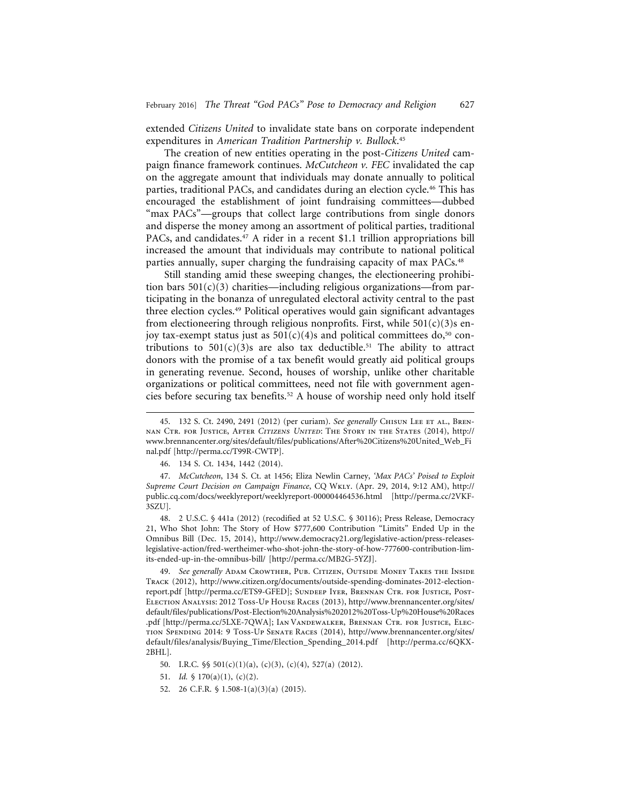extended *Citizens United* to invalidate state bans on corporate independent expenditures in *American Tradition Partnership v. Bullock*. 45

The creation of new entities operating in the post-*Citizens United* campaign finance framework continues. *McCutcheon v. FEC* invalidated the cap on the aggregate amount that individuals may donate annually to political parties, traditional PACs, and candidates during an election cycle.46 This has encouraged the establishment of joint fundraising committees—dubbed "max PACs"—groups that collect large contributions from single donors and disperse the money among an assortment of political parties, traditional PACs, and candidates.<sup>47</sup> A rider in a recent \$1.1 trillion appropriations bill increased the amount that individuals may contribute to national political parties annually, super charging the fundraising capacity of max PACs.<sup>48</sup>

Still standing amid these sweeping changes, the electioneering prohibition bars  $501(c)(3)$  charities—including religious organizations—from participating in the bonanza of unregulated electoral activity central to the past three election cycles.49 Political operatives would gain significant advantages from electioneering through religious nonprofits. First, while  $501(c)(3)$ s enjoy tax-exempt status just as  $501(c)(4)$ s and political committees do,<sup>50</sup> contributions to  $501(c)(3)$ s are also tax deductible.<sup>51</sup> The ability to attract donors with the promise of a tax benefit would greatly aid political groups in generating revenue. Second, houses of worship, unlike other charitable organizations or political committees, need not file with government agencies before securing tax benefits.52 A house of worship need only hold itself

47. *McCutcheon*, 134 S. Ct. at 1456; Eliza Newlin Carney, *'Max PACs' Poised to Exploit Supreme Court Decision on Campaign Finance*, CQ Wkly. (Apr. 29, 2014, 9:12 AM), http:// public.cq.com/docs/weeklyreport/weeklyreport-000004464536.html [http://perma.cc/2VKF-3SZU].

48. 2 U.S.C. § 441a (2012) (recodified at 52 U.S.C. § 30116); Press Release, Democracy 21, Who Shot John: The Story of How \$777,600 Contribution "Limits" Ended Up in the Omnibus Bill (Dec. 15, 2014), http://www.democracy21.org/legislative-action/press-releaseslegislative-action/fred-wertheimer-who-shot-john-the-story-of-how-777600-contribution-limits-ended-up-in-the-omnibus-bill/ [http://perma.cc/MB2G-5YZJ].

49. *See generally* Adam Crowther, Pub. Citizen, Outside Money Takes the Inside Track (2012), http://www.citizen.org/documents/outside-spending-dominates-2012-electionreport.pdf [http://perma.cc/ETS9-GFED]; Sundeep Iyer, Brennan Ctr. for Justice, Post-Election Analysis: 2012 Toss-Up House Races (2013), http://www.brennancenter.org/sites/ default/files/publications/Post-Election%20Analysis%202012%20Toss-Up%20House%20Races .pdf [http://perma.cc/5LXE-7QWA]; Ian Vandewalker, Brennan Ctr. for Justice, Election Spending 2014: 9 Toss-Up Senate Races (2014), http://www.brennancenter.org/sites/ default/files/analysis/Buying\_Time/Election\_Spending\_2014.pdf [http://perma.cc/6QKX-2BHL].

50. I.R.C. §§ 501(c)(1)(a), (c)(3), (c)(4), 527(a) (2012).

51. *Id.* § 170(a)(1), (c)(2).

<sup>45. 132</sup> S. Ct. 2490, 2491 (2012) (per curiam). *See generally* CHISUN LEE ET AL., BRENnan Ctr. for Justice, After *Citizens United*: The Story in the States (2014), http:// www.brennancenter.org/sites/default/files/publications/After%20Citizens%20United\_Web\_Fi nal.pdf [http://perma.cc/T99R-CWTP].

<sup>46. 134</sup> S. Ct. 1434, 1442 (2014).

<sup>52. 26</sup> C.F.R. § 1.508-1(a)(3)(a) (2015).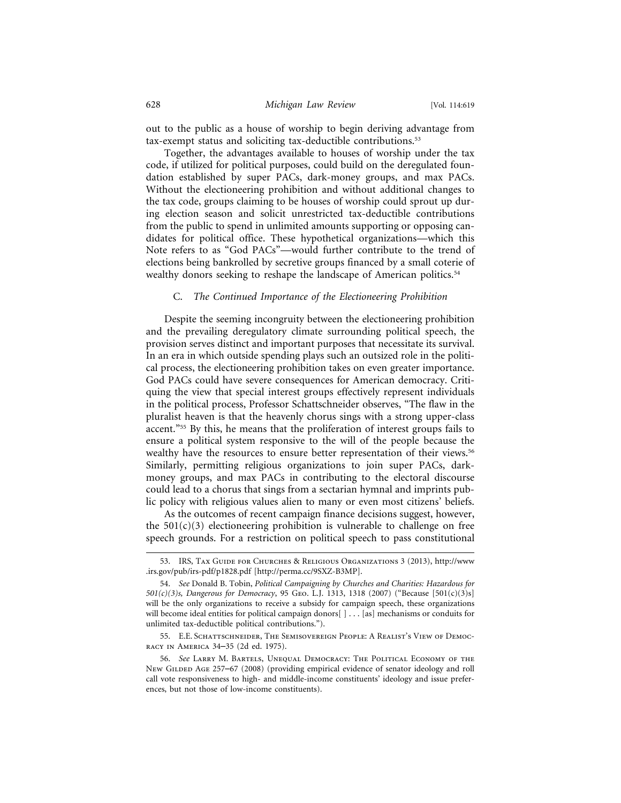out to the public as a house of worship to begin deriving advantage from tax-exempt status and soliciting tax-deductible contributions.53

Together, the advantages available to houses of worship under the tax code, if utilized for political purposes, could build on the deregulated foundation established by super PACs, dark-money groups, and max PACs. Without the electioneering prohibition and without additional changes to the tax code, groups claiming to be houses of worship could sprout up during election season and solicit unrestricted tax-deductible contributions from the public to spend in unlimited amounts supporting or opposing candidates for political office. These hypothetical organizations—which this Note refers to as "God PACs"—would further contribute to the trend of elections being bankrolled by secretive groups financed by a small coterie of wealthy donors seeking to reshape the landscape of American politics.<sup>54</sup>

## C. *The Continued Importance of the Electioneering Prohibition*

Despite the seeming incongruity between the electioneering prohibition and the prevailing deregulatory climate surrounding political speech, the provision serves distinct and important purposes that necessitate its survival. In an era in which outside spending plays such an outsized role in the political process, the electioneering prohibition takes on even greater importance. God PACs could have severe consequences for American democracy. Critiquing the view that special interest groups effectively represent individuals in the political process, Professor Schattschneider observes, "The flaw in the pluralist heaven is that the heavenly chorus sings with a strong upper-class accent."55 By this, he means that the proliferation of interest groups fails to ensure a political system responsive to the will of the people because the wealthy have the resources to ensure better representation of their views.<sup>56</sup> Similarly, permitting religious organizations to join super PACs, darkmoney groups, and max PACs in contributing to the electoral discourse could lead to a chorus that sings from a sectarian hymnal and imprints public policy with religious values alien to many or even most citizens' beliefs.

As the outcomes of recent campaign finance decisions suggest, however, the  $501(c)(3)$  electioneering prohibition is vulnerable to challenge on free speech grounds. For a restriction on political speech to pass constitutional

<sup>53.</sup> IRS, Tax Guide for Churches & Religious Organizations 3 (2013), http://www .irs.gov/pub/irs-pdf/p1828.pdf [http://perma.cc/9SXZ-B3MP].

<sup>54.</sup> *See* Donald B. Tobin, *Political Campaigning by Churches and Charities: Hazardous for 501(c)(3)s, Dangerous for Democracy*, 95 Geo. L.J. 1313, 1318 (2007) ("Because [501(c)(3)s] will be the only organizations to receive a subsidy for campaign speech, these organizations will become ideal entities for political campaign donors[ ] . . . [as] mechanisms or conduits for unlimited tax-deductible political contributions.").

<sup>55.</sup> E.E. SCHATTSCHNEIDER, THE SEMISOVEREIGN PEOPLE: A REALIST'S VIEW OF DEMOCracy in America 34–35 (2d ed. 1975).

<sup>56.</sup> *See* Larry M. Bartels, Unequal Democracy: The Political Economy of the New GILDED AGE 257–67 (2008) (providing empirical evidence of senator ideology and roll call vote responsiveness to high- and middle-income constituents' ideology and issue preferences, but not those of low-income constituents).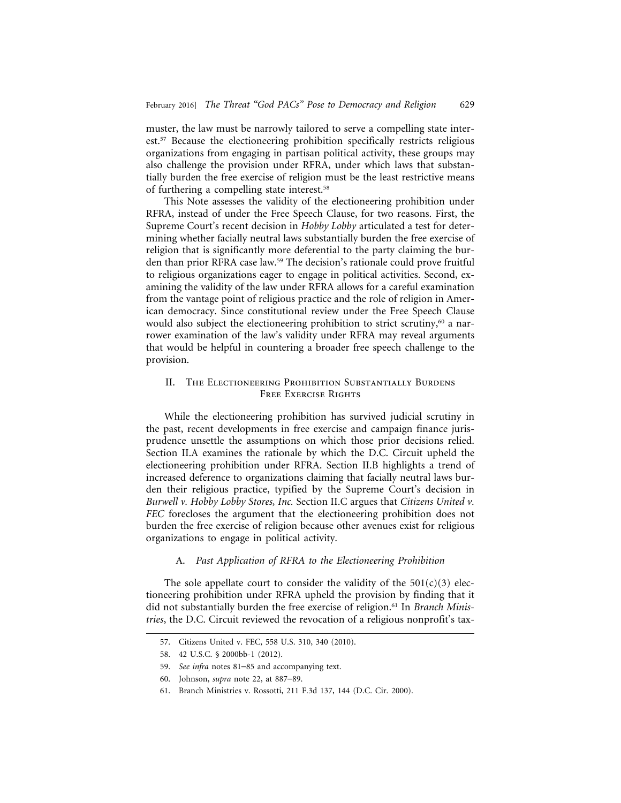muster, the law must be narrowly tailored to serve a compelling state interest.57 Because the electioneering prohibition specifically restricts religious organizations from engaging in partisan political activity, these groups may also challenge the provision under RFRA, under which laws that substantially burden the free exercise of religion must be the least restrictive means of furthering a compelling state interest.58

This Note assesses the validity of the electioneering prohibition under RFRA, instead of under the Free Speech Clause, for two reasons. First, the Supreme Court's recent decision in *Hobby Lobby* articulated a test for determining whether facially neutral laws substantially burden the free exercise of religion that is significantly more deferential to the party claiming the burden than prior RFRA case law.59 The decision's rationale could prove fruitful to religious organizations eager to engage in political activities. Second, examining the validity of the law under RFRA allows for a careful examination from the vantage point of religious practice and the role of religion in American democracy. Since constitutional review under the Free Speech Clause would also subject the electioneering prohibition to strict scrutiny,<sup>60</sup> a narrower examination of the law's validity under RFRA may reveal arguments that would be helpful in countering a broader free speech challenge to the provision.

## II. THE ELECTIONEERING PROHIBITION SUBSTANTIALLY BURDENS FREE EXERCISE RIGHTS

While the electioneering prohibition has survived judicial scrutiny in the past, recent developments in free exercise and campaign finance jurisprudence unsettle the assumptions on which those prior decisions relied. Section II.A examines the rationale by which the D.C. Circuit upheld the electioneering prohibition under RFRA. Section II.B highlights a trend of increased deference to organizations claiming that facially neutral laws burden their religious practice, typified by the Supreme Court's decision in *Burwell v. Hobby Lobby Stores, Inc.* Section II.C argues that *Citizens United v. FEC* forecloses the argument that the electioneering prohibition does not burden the free exercise of religion because other avenues exist for religious organizations to engage in political activity.

## A. *Past Application of RFRA to the Electioneering Prohibition*

The sole appellate court to consider the validity of the  $501(c)(3)$  electioneering prohibition under RFRA upheld the provision by finding that it did not substantially burden the free exercise of religion.61 In *Branch Ministries*, the D.C. Circuit reviewed the revocation of a religious nonprofit's tax-

<sup>57.</sup> Citizens United v. FEC, 558 U.S. 310, 340 (2010).

<sup>58. 42</sup> U.S.C. § 2000bb-1 (2012).

<sup>59.</sup> *See infra* notes 81–85 and accompanying text.

<sup>60.</sup> Johnson, *supra* note 22, at 887–89.

<sup>61.</sup> Branch Ministries v. Rossotti, 211 F.3d 137, 144 (D.C. Cir. 2000).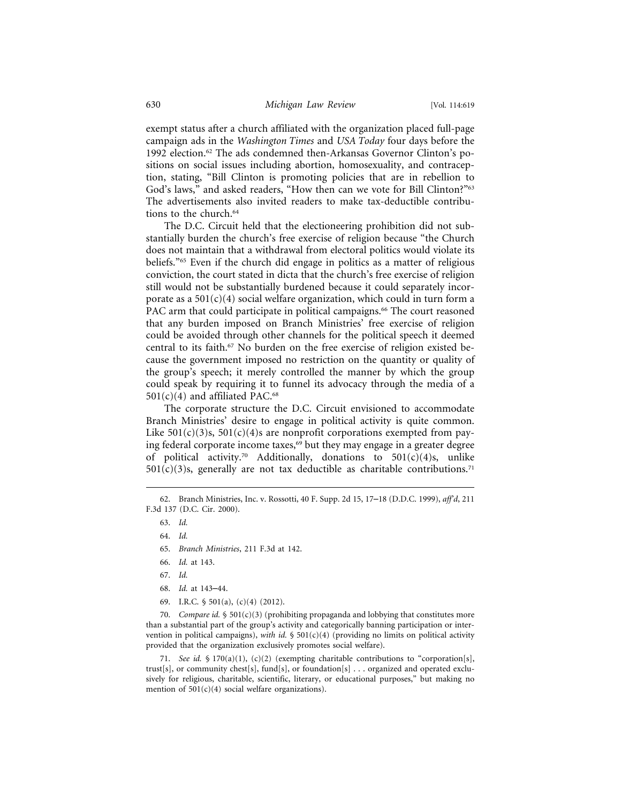exempt status after a church affiliated with the organization placed full-page campaign ads in the *Washington Times* and *USA Today* four days before the 1992 election.62 The ads condemned then-Arkansas Governor Clinton's positions on social issues including abortion, homosexuality, and contraception, stating, "Bill Clinton is promoting policies that are in rebellion to God's laws," and asked readers, "How then can we vote for Bill Clinton?"63 The advertisements also invited readers to make tax-deductible contributions to the church.<sup>64</sup>

The D.C. Circuit held that the electioneering prohibition did not substantially burden the church's free exercise of religion because "the Church does not maintain that a withdrawal from electoral politics would violate its beliefs."65 Even if the church did engage in politics as a matter of religious conviction, the court stated in dicta that the church's free exercise of religion still would not be substantially burdened because it could separately incorporate as a  $501(c)(4)$  social welfare organization, which could in turn form a PAC arm that could participate in political campaigns.<sup>66</sup> The court reasoned that any burden imposed on Branch Ministries' free exercise of religion could be avoided through other channels for the political speech it deemed central to its faith.<sup>67</sup> No burden on the free exercise of religion existed because the government imposed no restriction on the quantity or quality of the group's speech; it merely controlled the manner by which the group could speak by requiring it to funnel its advocacy through the media of a  $501(c)(4)$  and affiliated PAC.<sup>68</sup>

The corporate structure the D.C. Circuit envisioned to accommodate Branch Ministries' desire to engage in political activity is quite common. Like  $501(c)(3)$ s,  $501(c)(4)$ s are nonprofit corporations exempted from paying federal corporate income taxes,<sup>69</sup> but they may engage in a greater degree of political activity.<sup>70</sup> Additionally, donations to  $501(c)(4)s$ , unlike  $501(c)(3)$ s, generally are not tax deductible as charitable contributions.<sup>71</sup>

69. I.R.C. § 501(a), (c)(4) (2012).

70. *Compare id.* § 501(c)(3) (prohibiting propaganda and lobbying that constitutes more than a substantial part of the group's activity and categorically banning participation or intervention in political campaigns), with id. § 501(c)(4) (providing no limits on political activity provided that the organization exclusively promotes social welfare).

71. *See id.* § 170(a)(1), (c)(2) (exempting charitable contributions to "corporation[s], trust[s], or community chest[s], fund[s], or foundation[s] . . . organized and operated exclusively for religious, charitable, scientific, literary, or educational purposes," but making no mention of  $501(c)(4)$  social welfare organizations).

<sup>62.</sup> Branch Ministries, Inc. v. Rossotti, 40 F. Supp. 2d 15, 17–18 (D.D.C. 1999), *aff'd*, 211 F.3d 137 (D.C. Cir. 2000).

<sup>63.</sup> *Id.*

<sup>64.</sup> *Id.*

<sup>65.</sup> *Branch Ministries*, 211 F.3d at 142.

<sup>66.</sup> *Id.* at 143.

<sup>67.</sup> *Id.*

<sup>68.</sup> *Id.* at 143–44.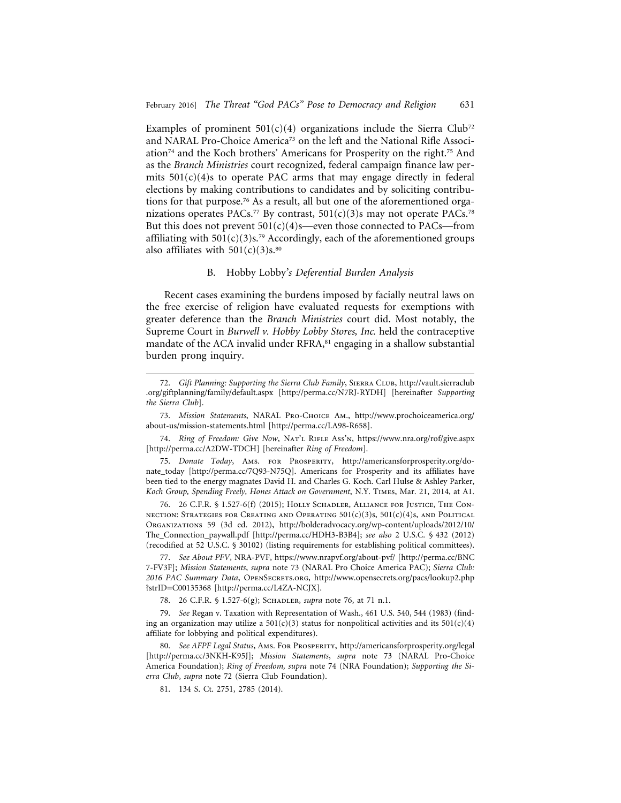Examples of prominent  $501(c)(4)$  organizations include the Sierra Club<sup>72</sup> and NARAL Pro-Choice America<sup>73</sup> on the left and the National Rifle Association74 and the Koch brothers' Americans for Prosperity on the right.75 And as the *Branch Ministries* court recognized, federal campaign finance law permits  $501(c)(4)$ s to operate PAC arms that may engage directly in federal elections by making contributions to candidates and by soliciting contributions for that purpose.76 As a result, all but one of the aforementioned organizations operates PACs.<sup>77</sup> By contrast,  $501(c)(3)$ s may not operate PACs.<sup>78</sup> But this does not prevent  $501(c)(4)$ s—even those connected to PACs—from affiliating with  $501(c)(3)s$ .<sup>79</sup> Accordingly, each of the aforementioned groups also affiliates with  $501(c)(3)s$ .<sup>80</sup>

## B. Hobby Lobby*'s Deferential Burden Analysis*

Recent cases examining the burdens imposed by facially neutral laws on the free exercise of religion have evaluated requests for exemptions with greater deference than the *Branch Ministries* court did. Most notably, the Supreme Court in *Burwell v. Hobby Lobby Stores, Inc.* held the contraceptive mandate of the ACA invalid under RFRA,<sup>81</sup> engaging in a shallow substantial burden prong inquiry.

76. 26 C.F.R. § 1.527-6(f) (2015); Holly Schadler, Alliance for Justice, The Con-NECTION: STRATEGIES FOR CREATING AND OPERATING  $501(c)(3)s$ ,  $501(c)(4)s$ , and Political Organizations 59 (3d ed. 2012), http://bolderadvocacy.org/wp-content/uploads/2012/10/ The\_Connection\_paywall.pdf [http://perma.cc/HDH3-B3B4]; *see also* 2 U.S.C. § 432 (2012) (recodified at 52 U.S.C. § 30102) (listing requirements for establishing political committees).

77. *See About PFV*, NRA-PVF, https://www.nrapvf.org/about-pvf/ [http://perma.cc/BNC 7-FV3F]; *Mission Statements*, *supra* note 73 (NARAL Pro Choice America PAC); *Sierra Club: 2016 PAC Summary Data*, OpenSecrets.org, http://www.opensecrets.org/pacs/lookup2.php ?strID=C00135368 [http://perma.cc/L4ZA-NCJX].

78. 26 C.F.R. § 1.527-6(g); Schadler, *supra* note 76, at 71 n.1.

79. *See* Regan v. Taxation with Representation of Wash., 461 U.S. 540, 544 (1983) (finding an organization may utilize a  $501(c)(3)$  status for nonpolitical activities and its  $501(c)(4)$ affiliate for lobbying and political expenditures).

80. *See AFPF Legal Status*, Ams. For Prosperity, http://americansforprosperity.org/legal [http://perma.cc/3NKH-K95J]; *Mission Statements*, *supra* note 73 (NARAL Pro-Choice America Foundation); *Ring of Freedom, supra* note 74 (NRA Foundation); *Supporting the Sierra Club*, *supra* note 72 (Sierra Club Foundation).

81. 134 S. Ct. 2751, 2785 (2014).

<sup>72.</sup> *Gift Planning: Supporting the Sierra Club Family*, Sierra Club, http://vault.sierraclub .org/giftplanning/family/default.aspx [http://perma.cc/N7RJ-RYDH] [hereinafter *Supporting the Sierra Club*].

<sup>73.</sup> *Mission Statements*, NARAL Pro-Choice Am., http://www.prochoiceamerica.org/ about-us/mission-statements.html [http://perma.cc/LA98-R658].

<sup>74.</sup> *Ring of Freedom: Give Now*, NAT'L RIFLE Ass'n, https://www.nra.org/rof/give.aspx [http://perma.cc/A2DW-TDCH] [hereinafter *Ring of Freedom*].

<sup>75.</sup> *Donate Today*, Ams. for Prosperity, http://americansforprosperity.org/donate\_today [http://perma.cc/7Q93-N75Q]. Americans for Prosperity and its affiliates have been tied to the energy magnates David H. and Charles G. Koch. Carl Hulse & Ashley Parker, *Koch Group, Spending Freely, Hones Attack on Government*, N.Y. Times, Mar. 21, 2014, at A1.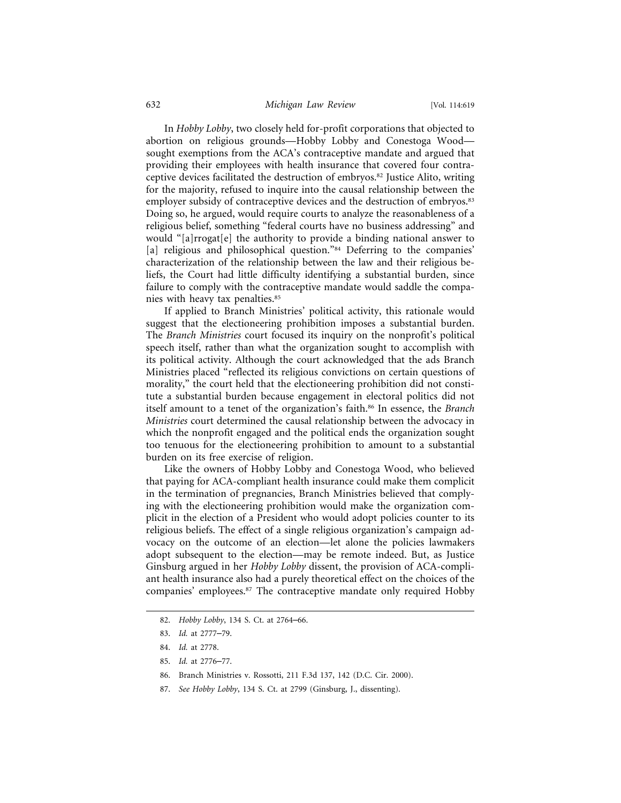## 632 *Michigan Law Review* [Vol. 114:619

In *Hobby Lobby*, two closely held for-profit corporations that objected to abortion on religious grounds—Hobby Lobby and Conestoga Wood sought exemptions from the ACA's contraceptive mandate and argued that providing their employees with health insurance that covered four contraceptive devices facilitated the destruction of embryos.82 Justice Alito, writing for the majority, refused to inquire into the causal relationship between the employer subsidy of contraceptive devices and the destruction of embryos.<sup>83</sup> Doing so, he argued, would require courts to analyze the reasonableness of a religious belief, something "federal courts have no business addressing" and would "[a]rrogat[e] the authority to provide a binding national answer to [a] religious and philosophical question."<sup>84</sup> Deferring to the companies' characterization of the relationship between the law and their religious beliefs, the Court had little difficulty identifying a substantial burden, since failure to comply with the contraceptive mandate would saddle the companies with heavy tax penalties.85

If applied to Branch Ministries' political activity, this rationale would suggest that the electioneering prohibition imposes a substantial burden. The *Branch Ministries* court focused its inquiry on the nonprofit's political speech itself, rather than what the organization sought to accomplish with its political activity. Although the court acknowledged that the ads Branch Ministries placed "reflected its religious convictions on certain questions of morality," the court held that the electioneering prohibition did not constitute a substantial burden because engagement in electoral politics did not itself amount to a tenet of the organization's faith.86 In essence, the *Branch Ministries* court determined the causal relationship between the advocacy in which the nonprofit engaged and the political ends the organization sought too tenuous for the electioneering prohibition to amount to a substantial burden on its free exercise of religion.

Like the owners of Hobby Lobby and Conestoga Wood, who believed that paying for ACA-compliant health insurance could make them complicit in the termination of pregnancies, Branch Ministries believed that complying with the electioneering prohibition would make the organization complicit in the election of a President who would adopt policies counter to its religious beliefs. The effect of a single religious organization's campaign advocacy on the outcome of an election—let alone the policies lawmakers adopt subsequent to the election—may be remote indeed. But, as Justice Ginsburg argued in her *Hobby Lobby* dissent, the provision of ACA-compliant health insurance also had a purely theoretical effect on the choices of the companies' employees.87 The contraceptive mandate only required Hobby

<sup>82.</sup> *Hobby Lobby*, 134 S. Ct. at 2764–66.

<sup>83.</sup> *Id.* at 2777–79.

<sup>84.</sup> *Id.* at 2778.

<sup>85.</sup> *Id.* at 2776–77.

<sup>86.</sup> Branch Ministries v. Rossotti, 211 F.3d 137, 142 (D.C. Cir. 2000).

<sup>87.</sup> *See Hobby Lobby*, 134 S. Ct. at 2799 (Ginsburg, J., dissenting).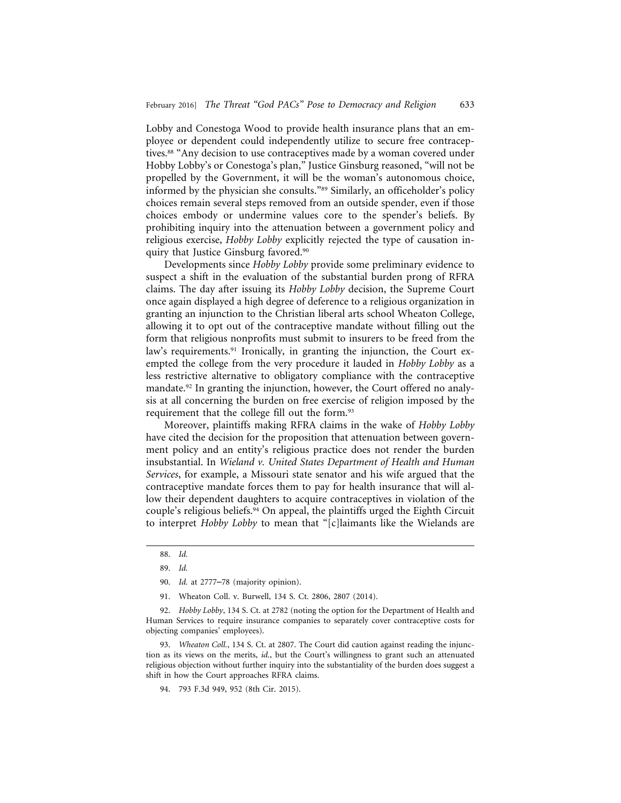Lobby and Conestoga Wood to provide health insurance plans that an employee or dependent could independently utilize to secure free contraceptives.<sup>88</sup> "Any decision to use contraceptives made by a woman covered under Hobby Lobby's or Conestoga's plan," Justice Ginsburg reasoned, "will not be propelled by the Government, it will be the woman's autonomous choice, informed by the physician she consults."89 Similarly, an officeholder's policy choices remain several steps removed from an outside spender, even if those choices embody or undermine values core to the spender's beliefs. By prohibiting inquiry into the attenuation between a government policy and religious exercise, *Hobby Lobby* explicitly rejected the type of causation inquiry that Justice Ginsburg favored.90

Developments since *Hobby Lobby* provide some preliminary evidence to suspect a shift in the evaluation of the substantial burden prong of RFRA claims. The day after issuing its *Hobby Lobby* decision, the Supreme Court once again displayed a high degree of deference to a religious organization in granting an injunction to the Christian liberal arts school Wheaton College, allowing it to opt out of the contraceptive mandate without filling out the form that religious nonprofits must submit to insurers to be freed from the law's requirements.<sup>91</sup> Ironically, in granting the injunction, the Court exempted the college from the very procedure it lauded in *Hobby Lobby* as a less restrictive alternative to obligatory compliance with the contraceptive mandate.<sup>92</sup> In granting the injunction, however, the Court offered no analysis at all concerning the burden on free exercise of religion imposed by the requirement that the college fill out the form.93

Moreover, plaintiffs making RFRA claims in the wake of *Hobby Lobby* have cited the decision for the proposition that attenuation between government policy and an entity's religious practice does not render the burden insubstantial. In *Wieland v. United States Department of Health and Human Services*, for example, a Missouri state senator and his wife argued that the contraceptive mandate forces them to pay for health insurance that will allow their dependent daughters to acquire contraceptives in violation of the couple's religious beliefs.94 On appeal, the plaintiffs urged the Eighth Circuit to interpret *Hobby Lobby* to mean that "[c]laimants like the Wielands are

92. *Hobby Lobby*, 134 S. Ct. at 2782 (noting the option for the Department of Health and Human Services to require insurance companies to separately cover contraceptive costs for objecting companies' employees).

93. *Wheaton Coll.*, 134 S. Ct. at 2807. The Court did caution against reading the injunction as its views on the merits, *id.*, but the Court's willingness to grant such an attenuated religious objection without further inquiry into the substantiality of the burden does suggest a shift in how the Court approaches RFRA claims.

<sup>88.</sup> *Id.*

<sup>89.</sup> *Id.*

<sup>90.</sup> *Id.* at 2777–78 (majority opinion).

<sup>91.</sup> Wheaton Coll. v. Burwell, 134 S. Ct. 2806, 2807 (2014).

<sup>94. 793</sup> F.3d 949, 952 (8th Cir. 2015).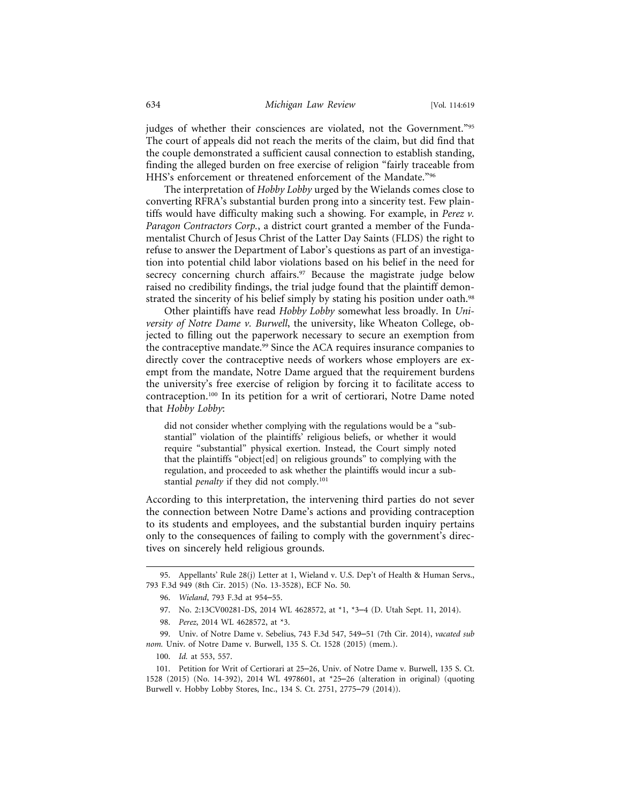judges of whether their consciences are violated, not the Government."95 The court of appeals did not reach the merits of the claim, but did find that the couple demonstrated a sufficient causal connection to establish standing, finding the alleged burden on free exercise of religion "fairly traceable from HHS's enforcement or threatened enforcement of the Mandate."96

The interpretation of *Hobby Lobby* urged by the Wielands comes close to converting RFRA's substantial burden prong into a sincerity test. Few plaintiffs would have difficulty making such a showing. For example, in *Perez v. Paragon Contractors Corp.*, a district court granted a member of the Fundamentalist Church of Jesus Christ of the Latter Day Saints (FLDS) the right to refuse to answer the Department of Labor's questions as part of an investigation into potential child labor violations based on his belief in the need for secrecy concerning church affairs.<sup>97</sup> Because the magistrate judge below raised no credibility findings, the trial judge found that the plaintiff demonstrated the sincerity of his belief simply by stating his position under oath.<sup>98</sup>

Other plaintiffs have read *Hobby Lobby* somewhat less broadly. In *University of Notre Dame v. Burwell*, the university, like Wheaton College, objected to filling out the paperwork necessary to secure an exemption from the contraceptive mandate.<sup>99</sup> Since the ACA requires insurance companies to directly cover the contraceptive needs of workers whose employers are exempt from the mandate, Notre Dame argued that the requirement burdens the university's free exercise of religion by forcing it to facilitate access to contraception.100 In its petition for a writ of certiorari, Notre Dame noted that *Hobby Lobby*:

did not consider whether complying with the regulations would be a "substantial" violation of the plaintiffs' religious beliefs, or whether it would require "substantial" physical exertion. Instead, the Court simply noted that the plaintiffs "object[ed] on religious grounds" to complying with the regulation, and proceeded to ask whether the plaintiffs would incur a substantial *penalty* if they did not comply.101

According to this interpretation, the intervening third parties do not sever the connection between Notre Dame's actions and providing contraception to its students and employees, and the substantial burden inquiry pertains only to the consequences of failing to comply with the government's directives on sincerely held religious grounds.

- 97. No. 2:13CV00281-DS, 2014 WL 4628572, at \*1, \*3–4 (D. Utah Sept. 11, 2014).
- 98. *Perez*, 2014 WL 4628572, at \*3.

<sup>95.</sup> Appellants' Rule 28(j) Letter at 1, Wieland v. U.S. Dep't of Health & Human Servs., 793 F.3d 949 (8th Cir. 2015) (No. 13-3528), ECF No. 50.

<sup>96.</sup> *Wieland*, 793 F.3d at 954–55.

<sup>99.</sup> Univ. of Notre Dame v. Sebelius, 743 F.3d 547, 549–51 (7th Cir. 2014), *vacated sub nom.* Univ. of Notre Dame v. Burwell, 135 S. Ct. 1528 (2015) (mem.).

<sup>100.</sup> *Id.* at 553, 557.

<sup>101.</sup> Petition for Writ of Certiorari at 25–26, Univ. of Notre Dame v. Burwell, 135 S. Ct. 1528 (2015) (No. 14-392), 2014 WL 4978601, at \*25–26 (alteration in original) (quoting Burwell v. Hobby Lobby Stores, Inc., 134 S. Ct. 2751, 2775–79 (2014)).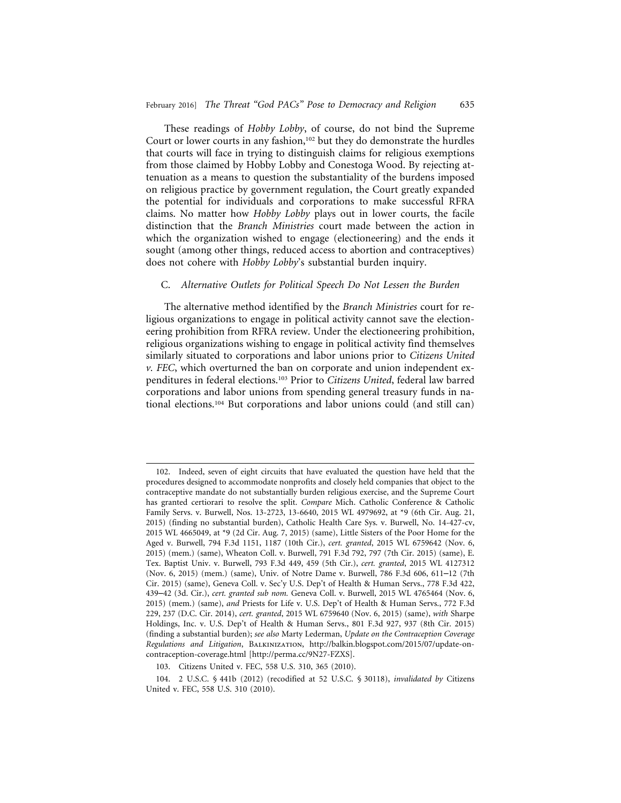These readings of *Hobby Lobby*, of course, do not bind the Supreme Court or lower courts in any fashion,<sup>102</sup> but they do demonstrate the hurdles that courts will face in trying to distinguish claims for religious exemptions from those claimed by Hobby Lobby and Conestoga Wood. By rejecting attenuation as a means to question the substantiality of the burdens imposed on religious practice by government regulation, the Court greatly expanded the potential for individuals and corporations to make successful RFRA claims. No matter how *Hobby Lobby* plays out in lower courts, the facile distinction that the *Branch Ministries* court made between the action in which the organization wished to engage (electioneering) and the ends it sought (among other things, reduced access to abortion and contraceptives) does not cohere with *Hobby Lobby*'s substantial burden inquiry.

## C. *Alternative Outlets for Political Speech Do Not Lessen the Burden*

The alternative method identified by the *Branch Ministries* court for religious organizations to engage in political activity cannot save the electioneering prohibition from RFRA review. Under the electioneering prohibition, religious organizations wishing to engage in political activity find themselves similarly situated to corporations and labor unions prior to *Citizens United v. FEC*, which overturned the ban on corporate and union independent expenditures in federal elections.103 Prior to *Citizens United*, federal law barred corporations and labor unions from spending general treasury funds in national elections.104 But corporations and labor unions could (and still can)

<sup>102.</sup> Indeed, seven of eight circuits that have evaluated the question have held that the procedures designed to accommodate nonprofits and closely held companies that object to the contraceptive mandate do not substantially burden religious exercise, and the Supreme Court has granted certiorari to resolve the split. *Compare* Mich. Catholic Conference & Catholic Family Servs. v. Burwell, Nos. 13-2723, 13-6640, 2015 WL 4979692, at \*9 (6th Cir. Aug. 21, 2015) (finding no substantial burden), Catholic Health Care Sys. v. Burwell, No. 14-427-cv, 2015 WL 4665049, at \*9 (2d Cir. Aug. 7, 2015) (same), Little Sisters of the Poor Home for the Aged v. Burwell, 794 F.3d 1151, 1187 (10th Cir.), *cert. granted*, 2015 WL 6759642 (Nov. 6, 2015) (mem.) (same), Wheaton Coll. v. Burwell, 791 F.3d 792, 797 (7th Cir. 2015) (same), E. Tex. Baptist Univ. v. Burwell, 793 F.3d 449, 459 (5th Cir.), *cert. granted*, 2015 WL 4127312 (Nov. 6, 2015) (mem.) (same), Univ. of Notre Dame v. Burwell, 786 F.3d 606, 611–12 (7th Cir. 2015) (same), Geneva Coll. v. Sec'y U.S. Dep't of Health & Human Servs., 778 F.3d 422, 439–42 (3d. Cir.), *cert. granted sub nom.* Geneva Coll. v. Burwell, 2015 WL 4765464 (Nov. 6, 2015) (mem.) (same), *and* Priests for Life v. U.S. Dep't of Health & Human Servs., 772 F.3d 229, 237 (D.C. Cir. 2014), *cert. granted*, 2015 WL 6759640 (Nov. 6, 2015) (same), *with* Sharpe Holdings, Inc. v. U.S. Dep't of Health & Human Servs., 801 F.3d 927, 937 (8th Cir. 2015) (finding a substantial burden); *see also* Marty Lederman, *Update on the Contraception Coverage Regulations and Litigation*, Balkinization, http://balkin.blogspot.com/2015/07/update-oncontraception-coverage.html [http://perma.cc/9N27-FZXS].

<sup>103.</sup> Citizens United v. FEC, 558 U.S. 310, 365 (2010).

<sup>104. 2</sup> U.S.C. § 441b (2012) (recodified at 52 U.S.C. § 30118), *invalidated by* Citizens United v. FEC, 558 U.S. 310 (2010).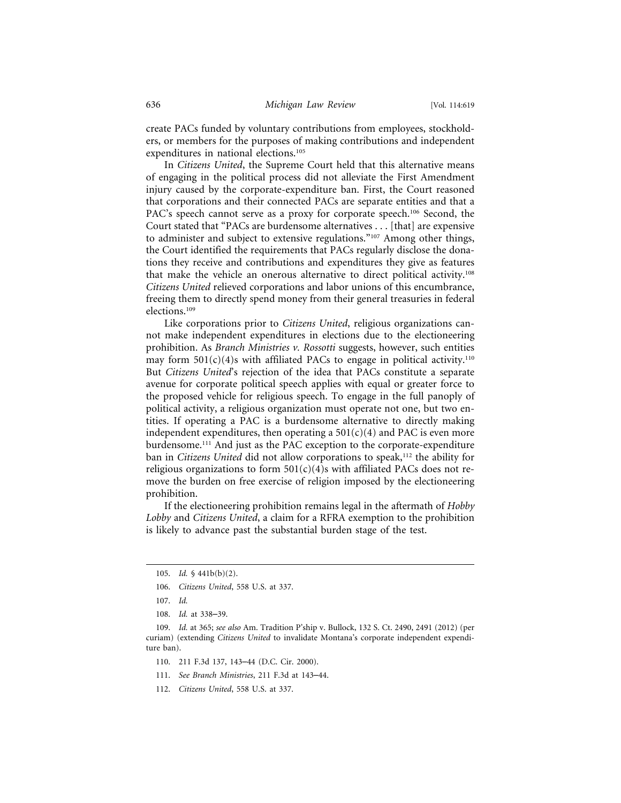create PACs funded by voluntary contributions from employees, stockholders, or members for the purposes of making contributions and independent expenditures in national elections.105

In *Citizens United*, the Supreme Court held that this alternative means of engaging in the political process did not alleviate the First Amendment injury caused by the corporate-expenditure ban. First, the Court reasoned that corporations and their connected PACs are separate entities and that a PAC's speech cannot serve as a proxy for corporate speech.<sup>106</sup> Second, the Court stated that "PACs are burdensome alternatives . . . [that] are expensive to administer and subject to extensive regulations."107 Among other things, the Court identified the requirements that PACs regularly disclose the donations they receive and contributions and expenditures they give as features that make the vehicle an onerous alternative to direct political activity.108 *Citizens United* relieved corporations and labor unions of this encumbrance, freeing them to directly spend money from their general treasuries in federal elections.109

Like corporations prior to *Citizens United*, religious organizations cannot make independent expenditures in elections due to the electioneering prohibition. As *Branch Ministries v. Rossotti* suggests, however, such entities may form  $501(c)(4)$ s with affiliated PACs to engage in political activity.<sup>110</sup> But *Citizens United*'s rejection of the idea that PACs constitute a separate avenue for corporate political speech applies with equal or greater force to the proposed vehicle for religious speech. To engage in the full panoply of political activity, a religious organization must operate not one, but two entities. If operating a PAC is a burdensome alternative to directly making independent expenditures, then operating a  $501(c)(4)$  and PAC is even more burdensome.111 And just as the PAC exception to the corporate-expenditure ban in *Citizens United* did not allow corporations to speak,<sup>112</sup> the ability for religious organizations to form  $501(c)(4)$ s with affiliated PACs does not remove the burden on free exercise of religion imposed by the electioneering prohibition.

If the electioneering prohibition remains legal in the aftermath of *Hobby Lobby* and *Citizens United*, a claim for a RFRA exemption to the prohibition is likely to advance past the substantial burden stage of the test.

- 110. 211 F.3d 137, 143–44 (D.C. Cir. 2000).
- 111. *See Branch Ministries*, 211 F.3d at 143–44.
- 112. *Citizens United*, 558 U.S. at 337.

<sup>105.</sup> *Id.* § 441b(b)(2).

<sup>106.</sup> *Citizens United*, 558 U.S. at 337.

<sup>107.</sup> *Id.*

<sup>108.</sup> *Id.* at 338–39.

<sup>109.</sup> *Id.* at 365; *see also* Am. Tradition P'ship v. Bullock, 132 S. Ct. 2490, 2491 (2012) (per curiam) (extending *Citizens United* to invalidate Montana's corporate independent expenditure ban).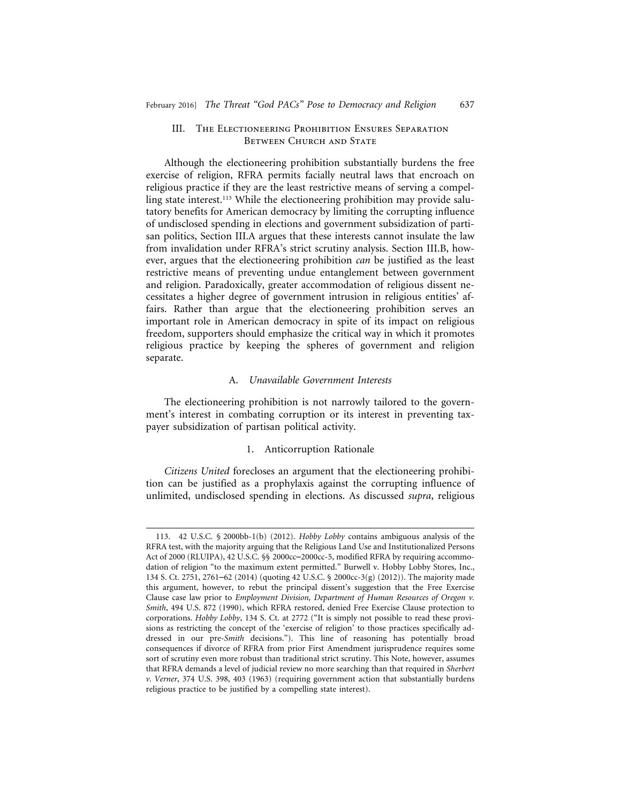## III. The Electioneering Prohibition Ensures Separation BETWEEN CHURCH AND STATE

Although the electioneering prohibition substantially burdens the free exercise of religion, RFRA permits facially neutral laws that encroach on religious practice if they are the least restrictive means of serving a compelling state interest.<sup>113</sup> While the electioneering prohibition may provide salutatory benefits for American democracy by limiting the corrupting influence of undisclosed spending in elections and government subsidization of partisan politics, Section III.A argues that these interests cannot insulate the law from invalidation under RFRA's strict scrutiny analysis. Section III.B, however, argues that the electioneering prohibition *can* be justified as the least restrictive means of preventing undue entanglement between government and religion. Paradoxically, greater accommodation of religious dissent necessitates a higher degree of government intrusion in religious entities' affairs. Rather than argue that the electioneering prohibition serves an important role in American democracy in spite of its impact on religious freedom, supporters should emphasize the critical way in which it promotes religious practice by keeping the spheres of government and religion separate.

## A. *Unavailable Government Interests*

The electioneering prohibition is not narrowly tailored to the government's interest in combating corruption or its interest in preventing taxpayer subsidization of partisan political activity.

## 1. Anticorruption Rationale

*Citizens United* forecloses an argument that the electioneering prohibition can be justified as a prophylaxis against the corrupting influence of unlimited, undisclosed spending in elections. As discussed *supra*, religious

<sup>113. 42</sup> U.S.C. § 2000bb-1(b) (2012). *Hobby Lobby* contains ambiguous analysis of the RFRA test, with the majority arguing that the Religious Land Use and Institutionalized Persons Act of 2000 (RLUIPA), 42 U.S.C. §§ 2000cc–2000cc-5, modified RFRA by requiring accommodation of religion "to the maximum extent permitted." Burwell v. Hobby Lobby Stores, Inc., 134 S. Ct. 2751, 2761–62 (2014) (quoting 42 U.S.C. § 2000cc-3(g) (2012)). The majority made this argument, however, to rebut the principal dissent's suggestion that the Free Exercise Clause case law prior to *Employment Division, Department of Human Resources of Oregon v. Smith*, 494 U.S. 872 (1990), which RFRA restored, denied Free Exercise Clause protection to corporations. *Hobby Lobby*, 134 S. Ct. at 2772 ("It is simply not possible to read these provisions as restricting the concept of the 'exercise of religion' to those practices specifically addressed in our pre-*Smith* decisions."). This line of reasoning has potentially broad consequences if divorce of RFRA from prior First Amendment jurisprudence requires some sort of scrutiny even more robust than traditional strict scrutiny. This Note, however, assumes that RFRA demands a level of judicial review no more searching than that required in *Sherbert v. Verner*, 374 U.S. 398, 403 (1963) (requiring government action that substantially burdens religious practice to be justified by a compelling state interest).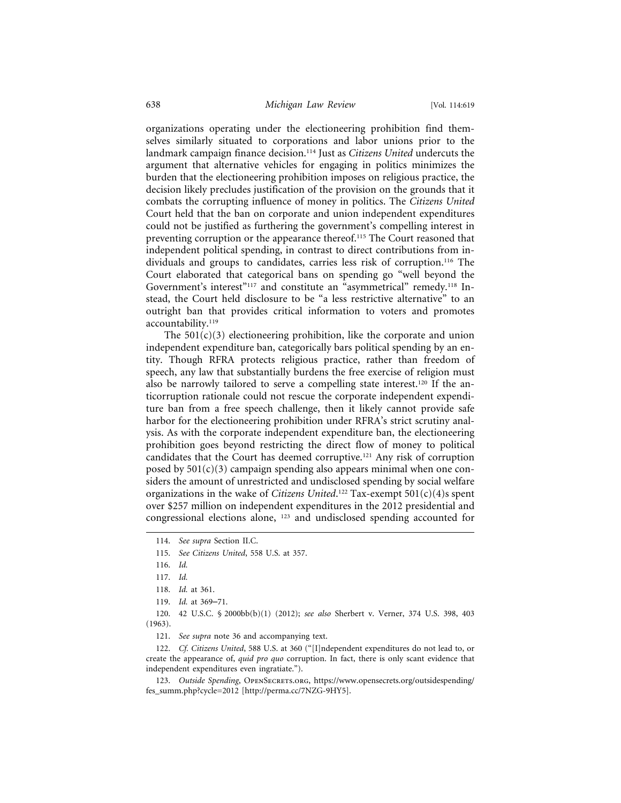organizations operating under the electioneering prohibition find themselves similarly situated to corporations and labor unions prior to the landmark campaign finance decision.114 Just as *Citizens United* undercuts the argument that alternative vehicles for engaging in politics minimizes the burden that the electioneering prohibition imposes on religious practice, the decision likely precludes justification of the provision on the grounds that it combats the corrupting influence of money in politics. The *Citizens United* Court held that the ban on corporate and union independent expenditures could not be justified as furthering the government's compelling interest in preventing corruption or the appearance thereof.115 The Court reasoned that independent political spending, in contrast to direct contributions from individuals and groups to candidates, carries less risk of corruption.<sup>116</sup> The Court elaborated that categorical bans on spending go "well beyond the Government's interest"<sup>117</sup> and constitute an "asymmetrical" remedy.<sup>118</sup> Instead, the Court held disclosure to be "a less restrictive alternative" to an outright ban that provides critical information to voters and promotes accountability.<sup>119</sup>

The  $501(c)(3)$  electioneering prohibition, like the corporate and union independent expenditure ban, categorically bars political spending by an entity. Though RFRA protects religious practice, rather than freedom of speech, any law that substantially burdens the free exercise of religion must also be narrowly tailored to serve a compelling state interest.<sup>120</sup> If the anticorruption rationale could not rescue the corporate independent expenditure ban from a free speech challenge, then it likely cannot provide safe harbor for the electioneering prohibition under RFRA's strict scrutiny analysis. As with the corporate independent expenditure ban, the electioneering prohibition goes beyond restricting the direct flow of money to political candidates that the Court has deemed corruptive.121 Any risk of corruption posed by  $501(c)(3)$  campaign spending also appears minimal when one considers the amount of unrestricted and undisclosed spending by social welfare organizations in the wake of *Citizens United*. 122 Tax-exempt 501(c)(4)s spent over \$257 million on independent expenditures in the 2012 presidential and congressional elections alone, 123 and undisclosed spending accounted for

120. 42 U.S.C. § 2000bb(b)(1) (2012); *see also* Sherbert v. Verner, 374 U.S. 398, 403 (1963).

121. *See supra* note 36 and accompanying text.

122. *Cf. Citizens United*, 588 U.S. at 360 ("[I]ndependent expenditures do not lead to, or create the appearance of, *quid pro quo* corruption. In fact, there is only scant evidence that independent expenditures even ingratiate.").

123. Outside Spending, OPENSECRETS.ORG, https://www.opensecrets.org/outsidespending/ fes\_summ.php?cycle=2012 [http://perma.cc/7NZG-9HY5].

<sup>114.</sup> *See supra* Section II.C.

<sup>115.</sup> *See Citizens United*, 558 U.S. at 357.

<sup>116.</sup> *Id.*

<sup>117.</sup> *Id.*

<sup>118.</sup> *Id.* at 361.

<sup>119.</sup> *Id.* at 369–71.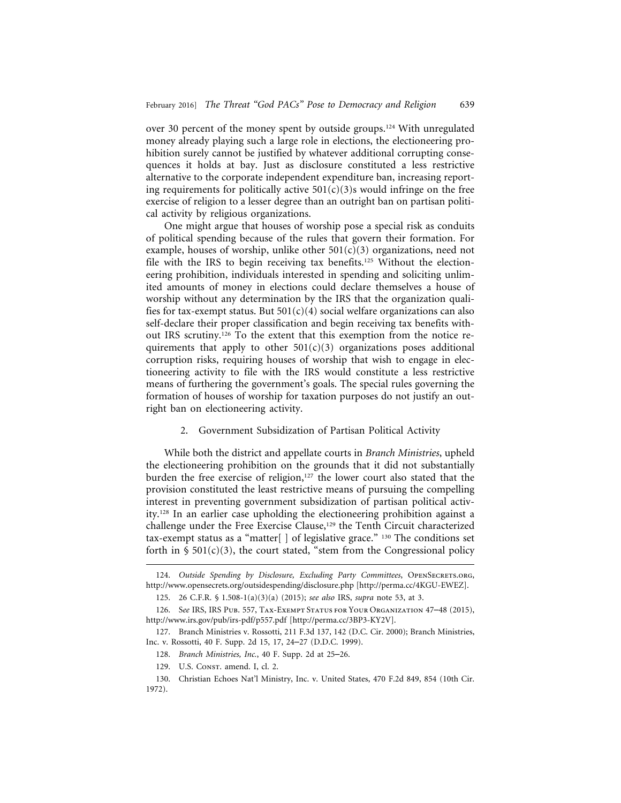over 30 percent of the money spent by outside groups.124 With unregulated money already playing such a large role in elections, the electioneering prohibition surely cannot be justified by whatever additional corrupting consequences it holds at bay. Just as disclosure constituted a less restrictive alternative to the corporate independent expenditure ban, increasing reporting requirements for politically active  $501(c)(3)$ s would infringe on the free exercise of religion to a lesser degree than an outright ban on partisan political activity by religious organizations.

One might argue that houses of worship pose a special risk as conduits of political spending because of the rules that govern their formation. For example, houses of worship, unlike other  $501(c)(3)$  organizations, need not file with the IRS to begin receiving tax benefits.125 Without the electioneering prohibition, individuals interested in spending and soliciting unlimited amounts of money in elections could declare themselves a house of worship without any determination by the IRS that the organization qualifies for tax-exempt status. But  $501(c)(4)$  social welfare organizations can also self-declare their proper classification and begin receiving tax benefits without IRS scrutiny.<sup>126</sup> To the extent that this exemption from the notice requirements that apply to other  $501(c)(3)$  organizations poses additional corruption risks, requiring houses of worship that wish to engage in electioneering activity to file with the IRS would constitute a less restrictive means of furthering the government's goals. The special rules governing the formation of houses of worship for taxation purposes do not justify an outright ban on electioneering activity.

## 2. Government Subsidization of Partisan Political Activity

While both the district and appellate courts in *Branch Ministries*, upheld the electioneering prohibition on the grounds that it did not substantially burden the free exercise of religion,<sup>127</sup> the lower court also stated that the provision constituted the least restrictive means of pursuing the compelling interest in preventing government subsidization of partisan political activity.128 In an earlier case upholding the electioneering prohibition against a challenge under the Free Exercise Clause,<sup>129</sup> the Tenth Circuit characterized tax-exempt status as a "matter $[ \ ]$  of legislative grace." 130 The conditions set forth in  $\frac{1}{2}$  501(c)(3), the court stated, "stem from the Congressional policy

<sup>124.</sup> Outside Spending by Disclosure, Excluding Party Committees, OPENSECRETS.ORG, http://www.opensecrets.org/outsidespending/disclosure.php [http://perma.cc/4KGU-EWEZ].

<sup>125. 26</sup> C.F.R. § 1.508-1(a)(3)(a) (2015); *see also* IRS, *supra* note 53, at 3.

<sup>126.</sup> S*ee* IRS, IRS Pub. 557, Tax-Exempt Status for Your Organization 47–48 (2015), http://www.irs.gov/pub/irs-pdf/p557.pdf [http://perma.cc/3BP3-KY2V].

<sup>127.</sup> Branch Ministries v. Rossotti, 211 F.3d 137, 142 (D.C. Cir. 2000); Branch Ministries, Inc. v. Rossotti, 40 F. Supp. 2d 15, 17, 24–27 (D.D.C. 1999).

<sup>128.</sup> *Branch Ministries, Inc.*, 40 F. Supp. 2d at 25–26.

<sup>129.</sup> U.S. CONST. amend. I, cl. 2.

<sup>130.</sup> Christian Echoes Nat'l Ministry, Inc. v. United States, 470 F.2d 849, 854 (10th Cir. 1972).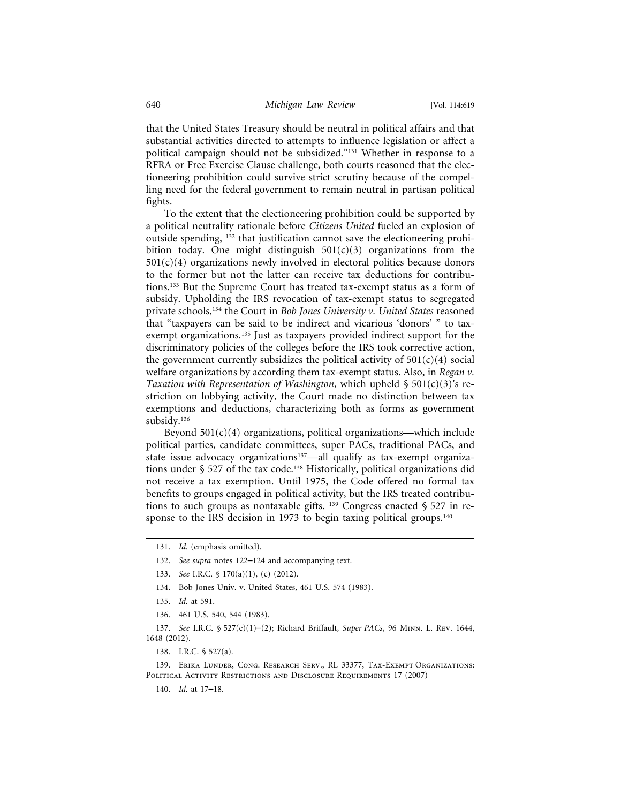that the United States Treasury should be neutral in political affairs and that substantial activities directed to attempts to influence legislation or affect a political campaign should not be subsidized."131 Whether in response to a RFRA or Free Exercise Clause challenge, both courts reasoned that the electioneering prohibition could survive strict scrutiny because of the compelling need for the federal government to remain neutral in partisan political fights.

To the extent that the electioneering prohibition could be supported by a political neutrality rationale before *Citizens United* fueled an explosion of outside spending, 132 that justification cannot save the electioneering prohibition today. One might distinguish  $501(c)(3)$  organizations from the  $501(c)(4)$  organizations newly involved in electoral politics because donors to the former but not the latter can receive tax deductions for contributions.133 But the Supreme Court has treated tax-exempt status as a form of subsidy. Upholding the IRS revocation of tax-exempt status to segregated private schools,134 the Court in *Bob Jones University v. United States* reasoned that "taxpayers can be said to be indirect and vicarious 'donors' " to taxexempt organizations.<sup>135</sup> Just as taxpayers provided indirect support for the discriminatory policies of the colleges before the IRS took corrective action, the government currently subsidizes the political activity of  $501(c)(4)$  social welfare organizations by according them tax-exempt status. Also, in *Regan v. Taxation with Representation of Washington*, which upheld § 501(c)(3)'s restriction on lobbying activity, the Court made no distinction between tax exemptions and deductions, characterizing both as forms as government subsidy.<sup>136</sup>

Beyond  $501(c)(4)$  organizations, political organizations—which include political parties, candidate committees, super PACs, traditional PACs, and state issue advocacy organizations<sup>137</sup>—all qualify as tax-exempt organizations under § 527 of the tax code.<sup>138</sup> Historically, political organizations did not receive a tax exemption. Until 1975, the Code offered no formal tax benefits to groups engaged in political activity, but the IRS treated contributions to such groups as nontaxable gifts.  $139$  Congress enacted § 527 in response to the IRS decision in 1973 to begin taxing political groups.<sup>140</sup>

- 133. *See* I.R.C. § 170(a)(1), (c) (2012).
- 134. Bob Jones Univ. v. United States, 461 U.S. 574 (1983).

136. 461 U.S. 540, 544 (1983).

137. *See* I.R.C. § 527(e)(1)–(2); Richard Briffault, *Super PACs*, 96 Minn. L. Rev. 1644, 1648 (2012).

138. I.R.C. § 527(a).

139. ERIKA LUNDER, CONG. RESEARCH SERV., RL 33377, TAX-EXEMPT ORGANIZATIONS: POLITICAL ACTIVITY RESTRICTIONS AND DISCLOSURE REQUIREMENTS 17 (2007)

140. *Id.* at 17–18.

<sup>131.</sup> *Id.* (emphasis omitted).

<sup>132.</sup> *See supra* notes 122–124 and accompanying text.

<sup>135.</sup> *Id.* at 591.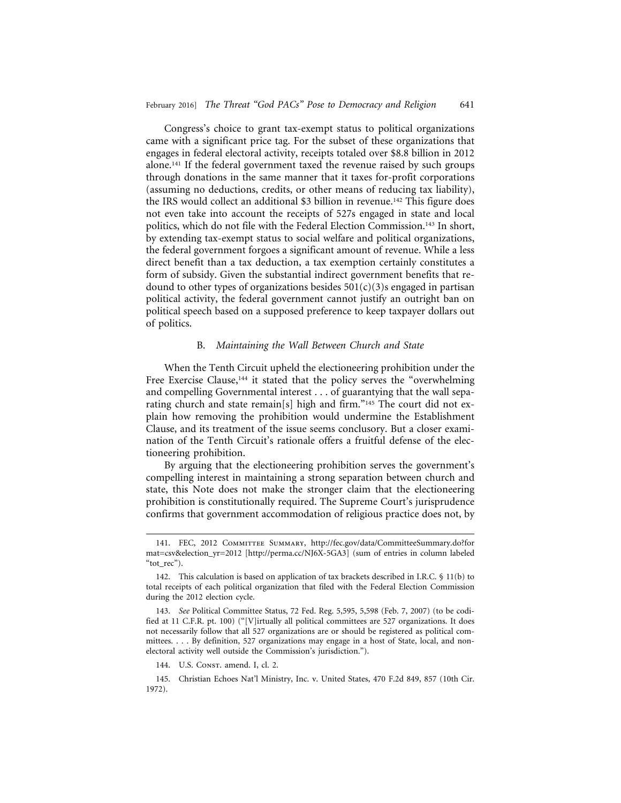Congress's choice to grant tax-exempt status to political organizations came with a significant price tag. For the subset of these organizations that engages in federal electoral activity, receipts totaled over \$8.8 billion in 2012 alone.141 If the federal government taxed the revenue raised by such groups through donations in the same manner that it taxes for-profit corporations (assuming no deductions, credits, or other means of reducing tax liability), the IRS would collect an additional \$3 billion in revenue.142 This figure does not even take into account the receipts of 527s engaged in state and local politics, which do not file with the Federal Election Commission.<sup>143</sup> In short, by extending tax-exempt status to social welfare and political organizations, the federal government forgoes a significant amount of revenue. While a less direct benefit than a tax deduction, a tax exemption certainly constitutes a form of subsidy. Given the substantial indirect government benefits that redound to other types of organizations besides  $501(c)(3)$ s engaged in partisan political activity, the federal government cannot justify an outright ban on political speech based on a supposed preference to keep taxpayer dollars out of politics.

## B. *Maintaining the Wall Between Church and State*

When the Tenth Circuit upheld the electioneering prohibition under the Free Exercise Clause,<sup>144</sup> it stated that the policy serves the "overwhelming and compelling Governmental interest . . . of guarantying that the wall separating church and state remain[s] high and firm."<sup>145</sup> The court did not explain how removing the prohibition would undermine the Establishment Clause, and its treatment of the issue seems conclusory. But a closer examination of the Tenth Circuit's rationale offers a fruitful defense of the electioneering prohibition.

By arguing that the electioneering prohibition serves the government's compelling interest in maintaining a strong separation between church and state, this Note does not make the stronger claim that the electioneering prohibition is constitutionally required. The Supreme Court's jurisprudence confirms that government accommodation of religious practice does not, by

145. Christian Echoes Nat'l Ministry, Inc. v. United States, 470 F.2d 849, 857 (10th Cir. 1972).

<sup>141.</sup> FEC, 2012 Committee Summary, http://fec.gov/data/CommitteeSummary.do?for mat=csv&election\_yr=2012 [http://perma.cc/NJ6X-5GA3] (sum of entries in column labeled "tot\_rec").

<sup>142.</sup> This calculation is based on application of tax brackets described in I.R.C. § 11(b) to total receipts of each political organization that filed with the Federal Election Commission during the 2012 election cycle.

<sup>143.</sup> *See* Political Committee Status, 72 Fed. Reg. 5,595, 5,598 (Feb. 7, 2007) (to be codified at 11 C.F.R. pt. 100) ("[V]irtually all political committees are 527 organizations. It does not necessarily follow that all 527 organizations are or should be registered as political committees. . . . By definition, 527 organizations may engage in a host of State, local, and nonelectoral activity well outside the Commission's jurisdiction.").

<sup>144.</sup> U.S. Const. amend. I, cl. 2.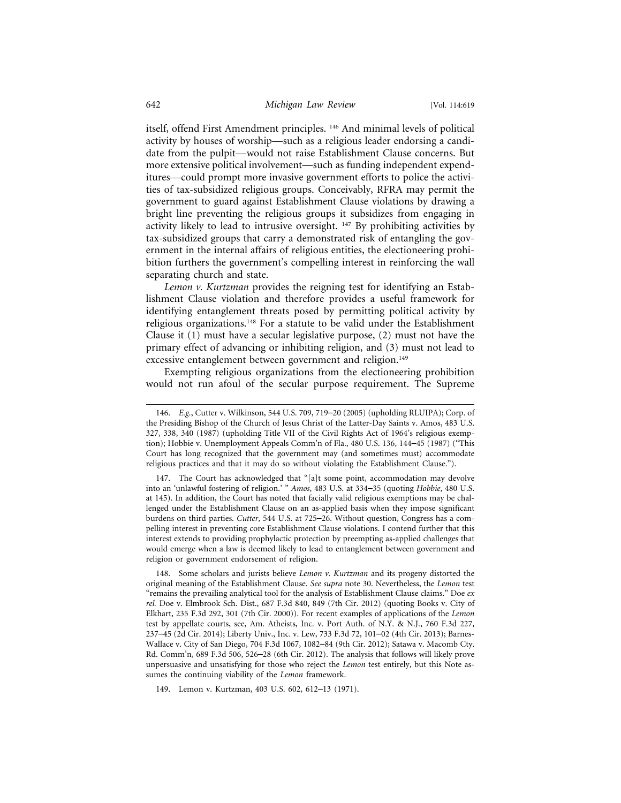itself, offend First Amendment principles. 146 And minimal levels of political activity by houses of worship—such as a religious leader endorsing a candidate from the pulpit—would not raise Establishment Clause concerns. But more extensive political involvement—such as funding independent expenditures—could prompt more invasive government efforts to police the activities of tax-subsidized religious groups. Conceivably, RFRA may permit the government to guard against Establishment Clause violations by drawing a bright line preventing the religious groups it subsidizes from engaging in activity likely to lead to intrusive oversight. 147 By prohibiting activities by tax-subsidized groups that carry a demonstrated risk of entangling the government in the internal affairs of religious entities, the electioneering prohibition furthers the government's compelling interest in reinforcing the wall separating church and state.

*Lemon v. Kurtzman* provides the reigning test for identifying an Establishment Clause violation and therefore provides a useful framework for identifying entanglement threats posed by permitting political activity by religious organizations.<sup>148</sup> For a statute to be valid under the Establishment Clause it (1) must have a secular legislative purpose, (2) must not have the primary effect of advancing or inhibiting religion, and (3) must not lead to excessive entanglement between government and religion.<sup>149</sup>

Exempting religious organizations from the electioneering prohibition would not run afoul of the secular purpose requirement. The Supreme

149. Lemon v. Kurtzman, 403 U.S. 602, 612–13 (1971).

<sup>146.</sup> *E.g.*, Cutter v. Wilkinson, 544 U.S. 709, 719–20 (2005) (upholding RLUIPA); Corp. of the Presiding Bishop of the Church of Jesus Christ of the Latter-Day Saints v. Amos, 483 U.S. 327, 338, 340 (1987) (upholding Title VII of the Civil Rights Act of 1964's religious exemption); Hobbie v. Unemployment Appeals Comm'n of Fla., 480 U.S. 136, 144–45 (1987) ("This Court has long recognized that the government may (and sometimes must) accommodate religious practices and that it may do so without violating the Establishment Clause.").

<sup>147.</sup> The Court has acknowledged that "[a]t some point, accommodation may devolve into an 'unlawful fostering of religion.' " *Amos*, 483 U.S. at 334–35 (quoting *Hobbie*, 480 U.S. at 145). In addition, the Court has noted that facially valid religious exemptions may be challenged under the Establishment Clause on an as-applied basis when they impose significant burdens on third parties. *Cutter*, 544 U.S. at 725–26. Without question, Congress has a compelling interest in preventing core Establishment Clause violations. I contend further that this interest extends to providing prophylactic protection by preempting as-applied challenges that would emerge when a law is deemed likely to lead to entanglement between government and religion or government endorsement of religion.

<sup>148.</sup> Some scholars and jurists believe *Lemon v. Kurtzman* and its progeny distorted the original meaning of the Establishment Clause. *See supra* note 30. Nevertheless, the *Lemon* test "remains the prevailing analytical tool for the analysis of Establishment Clause claims." Doe *ex rel.* Doe v. Elmbrook Sch. Dist., 687 F.3d 840, 849 (7th Cir. 2012) (quoting Books v. City of Elkhart, 235 F.3d 292, 301 (7th Cir. 2000)). For recent examples of applications of the *Lemon* test by appellate courts, see, Am. Atheists, Inc. v. Port Auth. of N.Y. & N.J., 760 F.3d 227, 237–45 (2d Cir. 2014); Liberty Univ., Inc. v. Lew, 733 F.3d 72, 101–02 (4th Cir. 2013); Barnes-Wallace v. City of San Diego, 704 F.3d 1067, 1082–84 (9th Cir. 2012); Satawa v. Macomb Cty. Rd. Comm'n, 689 F.3d 506, 526–28 (6th Cir. 2012). The analysis that follows will likely prove unpersuasive and unsatisfying for those who reject the *Lemon* test entirely, but this Note assumes the continuing viability of the *Lemon* framework.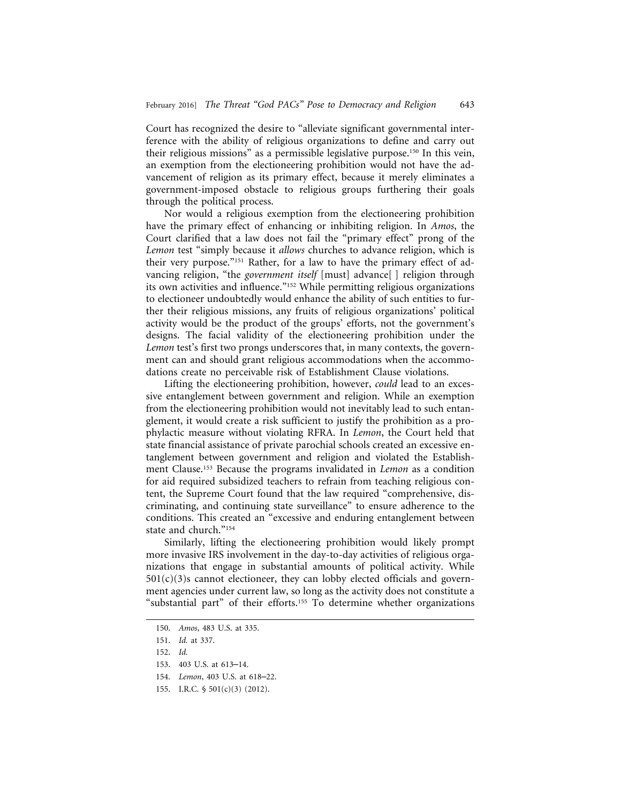Court has recognized the desire to "alleviate significant governmental interference with the ability of religious organizations to define and carry out their religious missions" as a permissible legislative purpose.150 In this vein, an exemption from the electioneering prohibition would not have the advancement of religion as its primary effect, because it merely eliminates a government-imposed obstacle to religious groups furthering their goals through the political process.

Nor would a religious exemption from the electioneering prohibition have the primary effect of enhancing or inhibiting religion. In *Amos*, the Court clarified that a law does not fail the "primary effect" prong of the *Lemon* test "simply because it *allows* churches to advance religion, which is their very purpose."151 Rather, for a law to have the primary effect of advancing religion, "the *government itself* [must] advance[ ] religion through its own activities and influence."152 While permitting religious organizations to electioneer undoubtedly would enhance the ability of such entities to further their religious missions, any fruits of religious organizations' political activity would be the product of the groups' efforts, not the government's designs. The facial validity of the electioneering prohibition under the *Lemon* test's first two prongs underscores that, in many contexts, the government can and should grant religious accommodations when the accommodations create no perceivable risk of Establishment Clause violations.

Lifting the electioneering prohibition, however, *could* lead to an excessive entanglement between government and religion. While an exemption from the electioneering prohibition would not inevitably lead to such entanglement, it would create a risk sufficient to justify the prohibition as a prophylactic measure without violating RFRA. In *Lemon*, the Court held that state financial assistance of private parochial schools created an excessive entanglement between government and religion and violated the Establishment Clause.153 Because the programs invalidated in *Lemon* as a condition for aid required subsidized teachers to refrain from teaching religious content, the Supreme Court found that the law required "comprehensive, discriminating, and continuing state surveillance" to ensure adherence to the conditions. This created an "excessive and enduring entanglement between state and church."154

Similarly, lifting the electioneering prohibition would likely prompt more invasive IRS involvement in the day-to-day activities of religious organizations that engage in substantial amounts of political activity. While  $501(c)(3)$ s cannot electioneer, they can lobby elected officials and government agencies under current law, so long as the activity does not constitute a "substantial part" of their efforts.<sup>155</sup> To determine whether organizations

<sup>150.</sup> *Amos*, 483 U.S. at 335.

<sup>151.</sup> *Id.* at 337.

<sup>152.</sup> *Id.*

<sup>153. 403</sup> U.S. at 613–14.

<sup>154.</sup> *Lemon*, 403 U.S. at 618–22.

<sup>155.</sup> I.R.C. § 501(c)(3) (2012).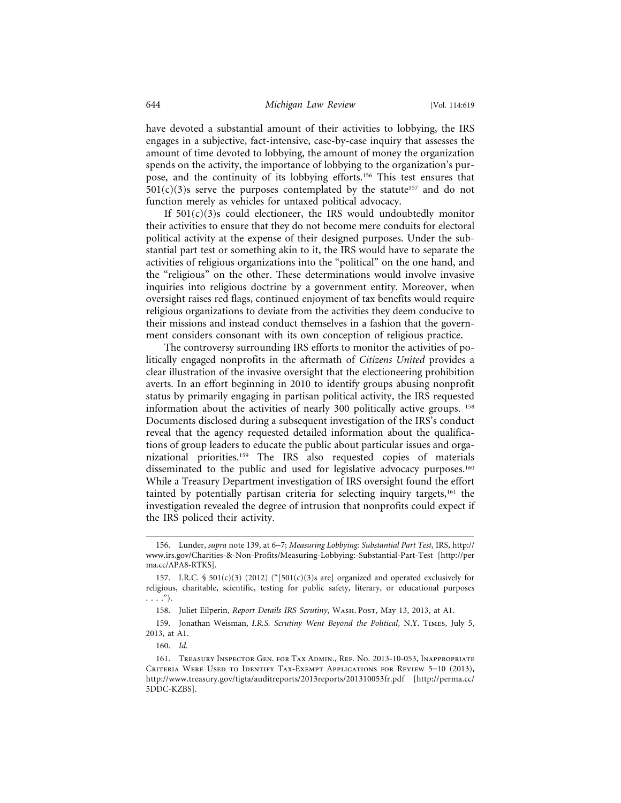have devoted a substantial amount of their activities to lobbying, the IRS engages in a subjective, fact-intensive, case-by-case inquiry that assesses the amount of time devoted to lobbying, the amount of money the organization spends on the activity, the importance of lobbying to the organization's purpose, and the continuity of its lobbying efforts.156 This test ensures that  $501(c)(3)$ s serve the purposes contemplated by the statute<sup>157</sup> and do not function merely as vehicles for untaxed political advocacy.

If  $501(c)(3)$ s could electioneer, the IRS would undoubtedly monitor their activities to ensure that they do not become mere conduits for electoral political activity at the expense of their designed purposes. Under the substantial part test or something akin to it, the IRS would have to separate the activities of religious organizations into the "political" on the one hand, and the "religious" on the other. These determinations would involve invasive inquiries into religious doctrine by a government entity. Moreover, when oversight raises red flags, continued enjoyment of tax benefits would require religious organizations to deviate from the activities they deem conducive to their missions and instead conduct themselves in a fashion that the government considers consonant with its own conception of religious practice.

The controversy surrounding IRS efforts to monitor the activities of politically engaged nonprofits in the aftermath of *Citizens United* provides a clear illustration of the invasive oversight that the electioneering prohibition averts. In an effort beginning in 2010 to identify groups abusing nonprofit status by primarily engaging in partisan political activity, the IRS requested information about the activities of nearly 300 politically active groups. 158 Documents disclosed during a subsequent investigation of the IRS's conduct reveal that the agency requested detailed information about the qualifications of group leaders to educate the public about particular issues and organizational priorities.159 The IRS also requested copies of materials disseminated to the public and used for legislative advocacy purposes.<sup>160</sup> While a Treasury Department investigation of IRS oversight found the effort tainted by potentially partisan criteria for selecting inquiry targets,161 the investigation revealed the degree of intrusion that nonprofits could expect if the IRS policed their activity.

<sup>156.</sup> Lunder, *supra* note 139, at 6–7; *Measuring Lobbying: Substantial Part Test*, IRS, http:// www.irs.gov/Charities-&-Non-Profits/Measuring-Lobbying:-Substantial-Part-Test [http://per ma.cc/APA8-RTKS].

<sup>157.</sup> I.R.C. § 501(c)(3) (2012) ("[501(c)(3)s are] organized and operated exclusively for religious, charitable, scientific, testing for public safety, literary, or educational purposes  $\ldots$ .").

<sup>158.</sup> Juliet Eilperin, *Report Details IRS Scrutiny*, WASH. Post, May 13, 2013, at A1.

<sup>159.</sup> Jonathan Weisman, *I.R.S. Scrutiny Went Beyond the Political*, N.Y. Times, July 5, 2013, at A1.

<sup>160.</sup> *Id.*

<sup>161.</sup> Treasury Inspector Gen. for Tax Admin., Ref. No. 2013-10-053, Inappropriate Criteria Were Used to Identify Tax-Exempt Applications for Review 5–10 (2013), http://www.treasury.gov/tigta/auditreports/2013reports/201310053fr.pdf [http://perma.cc/ 5DDC-KZBS].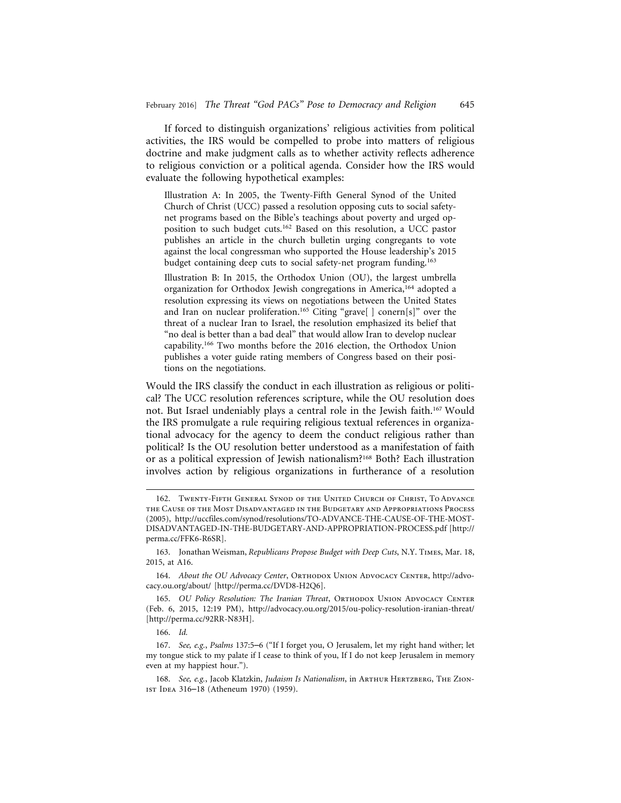If forced to distinguish organizations' religious activities from political activities, the IRS would be compelled to probe into matters of religious doctrine and make judgment calls as to whether activity reflects adherence to religious conviction or a political agenda. Consider how the IRS would evaluate the following hypothetical examples:

Illustration A: In 2005, the Twenty-Fifth General Synod of the United Church of Christ (UCC) passed a resolution opposing cuts to social safetynet programs based on the Bible's teachings about poverty and urged opposition to such budget cuts.162 Based on this resolution, a UCC pastor publishes an article in the church bulletin urging congregants to vote against the local congressman who supported the House leadership's 2015 budget containing deep cuts to social safety-net program funding.<sup>163</sup>

Illustration B: In 2015, the Orthodox Union (OU), the largest umbrella organization for Orthodox Jewish congregations in America,164 adopted a resolution expressing its views on negotiations between the United States and Iran on nuclear proliferation.<sup>165</sup> Citing "grave[] conern[s]" over the threat of a nuclear Iran to Israel, the resolution emphasized its belief that "no deal is better than a bad deal" that would allow Iran to develop nuclear capability.166 Two months before the 2016 election, the Orthodox Union publishes a voter guide rating members of Congress based on their positions on the negotiations.

Would the IRS classify the conduct in each illustration as religious or political? The UCC resolution references scripture, while the OU resolution does not. But Israel undeniably plays a central role in the Jewish faith.167 Would the IRS promulgate a rule requiring religious textual references in organizational advocacy for the agency to deem the conduct religious rather than political? Is the OU resolution better understood as a manifestation of faith or as a political expression of Jewish nationalism?168 Both? Each illustration involves action by religious organizations in furtherance of a resolution

166. *Id.*

<sup>162.</sup> Twenty-Fifth General Synod of the United Church of Christ, To Advance the Cause of the Most Disadvantaged in the Budgetary and Appropriations Process (2005), http://uccfiles.com/synod/resolutions/TO-ADVANCE-THE-CAUSE-OF-THE-MOST-DISADVANTAGED-IN-THE-BUDGETARY-AND-APPROPRIATION-PROCESS.pdf [http:// perma.cc/FFK6-R6SR].

<sup>163.</sup> Jonathan Weisman, *Republicans Propose Budget with Deep Cuts*, N.Y. Times, Mar. 18, 2015, at A16.

<sup>164.</sup> About the OU Advocacy Center, ORTHODOX UNION ADVOCACY CENTER, http://advocacy.ou.org/about/ [http://perma.cc/DVD8-H2Q6].

<sup>165.</sup> *OU Policy Resolution: The Iranian Threat*, ORTHODOX UNION ADVOCACY CENTER (Feb. 6, 2015, 12:19 PM), http://advocacy.ou.org/2015/ou-policy-resolution-iranian-threat/ [http://perma.cc/92RR-N83H].

<sup>167.</sup> *See, e.g.*, *Psalms* 137:5–6 ("If I forget you, O Jerusalem, let my right hand wither; let my tongue stick to my palate if I cease to think of you, If I do not keep Jerusalem in memory even at my happiest hour.").

<sup>168.</sup> See, e.g., Jacob Klatzkin, *Judaism Is Nationalism*, in ARTHUR HERTZBERG, THE ZIONist Idea 316–18 (Atheneum 1970) (1959).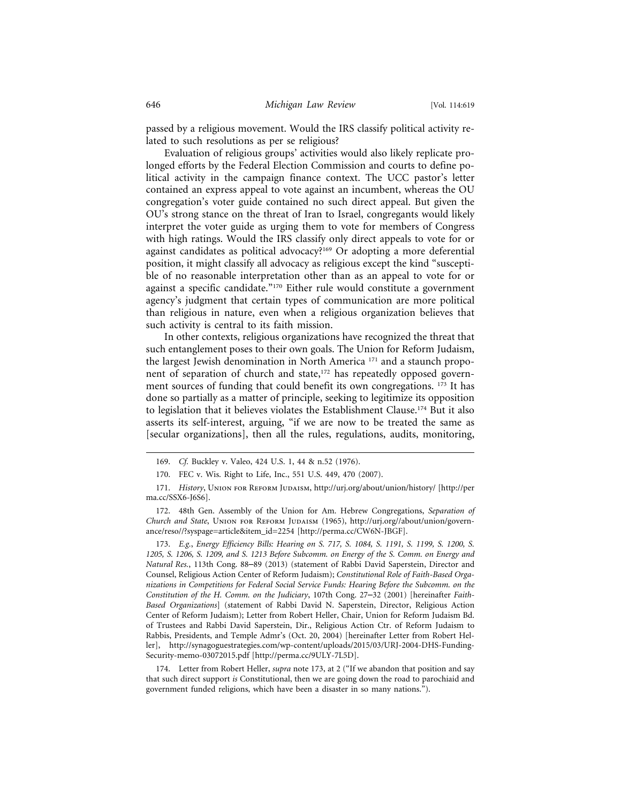passed by a religious movement. Would the IRS classify political activity related to such resolutions as per se religious?

Evaluation of religious groups' activities would also likely replicate prolonged efforts by the Federal Election Commission and courts to define political activity in the campaign finance context. The UCC pastor's letter contained an express appeal to vote against an incumbent, whereas the OU congregation's voter guide contained no such direct appeal. But given the OU's strong stance on the threat of Iran to Israel, congregants would likely interpret the voter guide as urging them to vote for members of Congress with high ratings. Would the IRS classify only direct appeals to vote for or against candidates as political advocacy?169 Or adopting a more deferential position, it might classify all advocacy as religious except the kind "susceptible of no reasonable interpretation other than as an appeal to vote for or against a specific candidate."170 Either rule would constitute a government agency's judgment that certain types of communication are more political than religious in nature, even when a religious organization believes that such activity is central to its faith mission.

In other contexts, religious organizations have recognized the threat that such entanglement poses to their own goals. The Union for Reform Judaism, the largest Jewish denomination in North America 171 and a staunch proponent of separation of church and state,<sup>172</sup> has repeatedly opposed government sources of funding that could benefit its own congregations. <sup>173</sup> It has done so partially as a matter of principle, seeking to legitimize its opposition to legislation that it believes violates the Establishment Clause.174 But it also asserts its self-interest, arguing, "if we are now to be treated the same as [secular organizations], then all the rules, regulations, audits, monitoring,

173. *E.g.*, *Energy Efficiency Bills: Hearing on S. 717, S. 1084, S. 1191, S. 1199, S. 1200, S. 1205, S. 1206, S. 1209, and S. 1213 Before Subcomm. on Energy of the S. Comm. on Energy and Natural Res.*, 113th Cong. 88–89 (2013) (statement of Rabbi David Saperstein, Director and Counsel, Religious Action Center of Reform Judaism); *Constitutional Role of Faith-Based Organizations in Competitions for Federal Social Service Funds: Hearing Before the Subcomm. on the Constitution of the H. Comm. on the Judiciary*, 107th Cong. 27–32 (2001) [hereinafter *Faith-Based Organizations*] (statement of Rabbi David N. Saperstein, Director, Religious Action Center of Reform Judaism); Letter from Robert Heller, Chair, Union for Reform Judaism Bd. of Trustees and Rabbi David Saperstein, Dir., Religious Action Ctr. of Reform Judaism to Rabbis, Presidents, and Temple Admr's (Oct. 20, 2004) [hereinafter Letter from Robert Heller], http://synagoguestrategies.com/wp-content/uploads/2015/03/URJ-2004-DHS-Funding-Security-memo-03072015.pdf [http://perma.cc/9ULY-7L5D].

174. Letter from Robert Heller, *supra* note 173, at 2 ("If we abandon that position and say that such direct support *is* Constitutional, then we are going down the road to parochiaid and government funded religions, which have been a disaster in so many nations.").

<sup>169.</sup> *Cf.* Buckley v. Valeo, 424 U.S. 1, 44 & n.52 (1976).

<sup>170.</sup> FEC v. Wis. Right to Life, Inc., 551 U.S. 449, 470 (2007).

<sup>171.</sup> *History*, Union for Reform Judaism, http://urj.org/about/union/history/ [http://per ma.cc/SSX6-J6S6].

<sup>172. 48</sup>th Gen. Assembly of the Union for Am. Hebrew Congregations, *Separation of Church and State*, Union for Reform Judaism (1965), http://urj.org//about/union/governance/reso//?syspage=article&item\_id=2254 [http://perma.cc/CW6N-JBGF].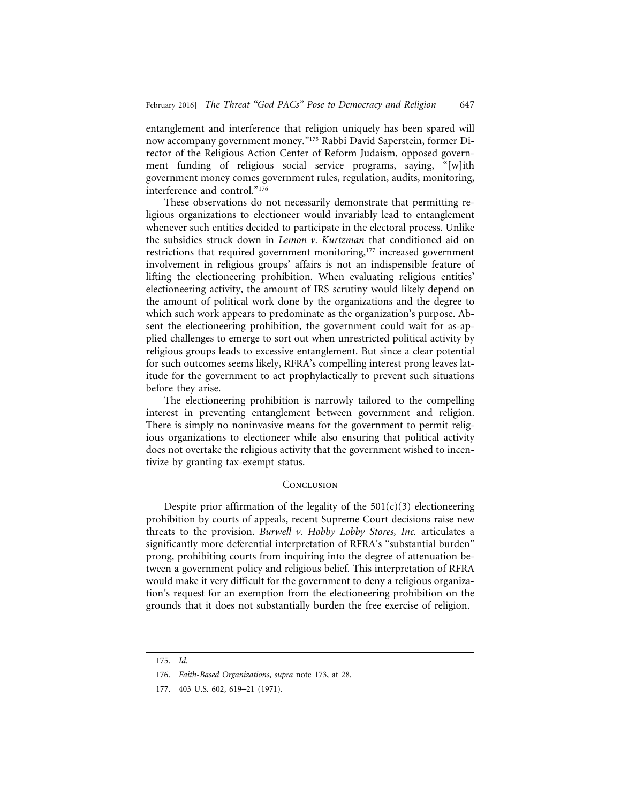entanglement and interference that religion uniquely has been spared will now accompany government money."175 Rabbi David Saperstein, former Director of the Religious Action Center of Reform Judaism, opposed government funding of religious social service programs, saying, "[w]ith government money comes government rules, regulation, audits, monitoring, interference and control."176

These observations do not necessarily demonstrate that permitting religious organizations to electioneer would invariably lead to entanglement whenever such entities decided to participate in the electoral process. Unlike the subsidies struck down in *Lemon v. Kurtzman* that conditioned aid on restrictions that required government monitoring,<sup>177</sup> increased government involvement in religious groups' affairs is not an indispensible feature of lifting the electioneering prohibition. When evaluating religious entities' electioneering activity, the amount of IRS scrutiny would likely depend on the amount of political work done by the organizations and the degree to which such work appears to predominate as the organization's purpose. Absent the electioneering prohibition, the government could wait for as-applied challenges to emerge to sort out when unrestricted political activity by religious groups leads to excessive entanglement. But since a clear potential for such outcomes seems likely, RFRA's compelling interest prong leaves latitude for the government to act prophylactically to prevent such situations before they arise.

The electioneering prohibition is narrowly tailored to the compelling interest in preventing entanglement between government and religion. There is simply no noninvasive means for the government to permit religious organizations to electioneer while also ensuring that political activity does not overtake the religious activity that the government wished to incentivize by granting tax-exempt status.

## **CONCLUSION**

Despite prior affirmation of the legality of the  $501(c)(3)$  electioneering prohibition by courts of appeals, recent Supreme Court decisions raise new threats to the provision. *Burwell v. Hobby Lobby Stores, Inc.* articulates a significantly more deferential interpretation of RFRA's "substantial burden" prong, prohibiting courts from inquiring into the degree of attenuation between a government policy and religious belief. This interpretation of RFRA would make it very difficult for the government to deny a religious organization's request for an exemption from the electioneering prohibition on the grounds that it does not substantially burden the free exercise of religion.

<sup>175.</sup> *Id.*

<sup>176.</sup> *Faith-Based Organizations*, *supra* note 173, at 28.

<sup>177. 403</sup> U.S. 602, 619–21 (1971).